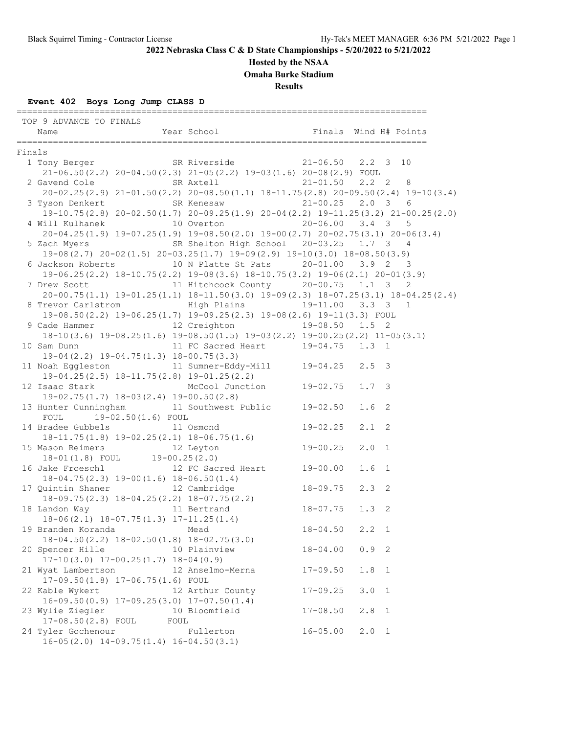### **Hosted by the NSAA**

**Omaha Burke Stadium**

**Results**

### **Event 402 Boys Long Jump CLASS D**

 TOP 9 ADVANCE TO FINALS Name Year School Finals Wind H# Points =============================================================================== Finals 1 Tony Berger SR Riverside 21-06.50 2.2 3 10 21-06.50(2.2) 20-04.50(2.3) 21-05(2.2) 19-03(1.6) 20-08(2.9) FOUL 2 Gavend Cole SR Axtell 21-01.50 2.2 2 8 20-02.25(2.9) 21-01.50(2.2) 20-08.50(1.1) 18-11.75(2.8) 20-09.50(2.4) 19-10(3.4) 3 Tyson Denkert SR Kenesaw 21-00.25 2.0 3 6 19-10.75(2.8) 20-02.50(1.7) 20-09.25(1.9) 20-04(2.2) 19-11.25(3.2) 21-00.25(2.0) 4 Will Kulhanek 10 Overton 20-06.00 3.4 3 5 20-04.25(1.9) 19-07.25(1.9) 19-08.50(2.0) 19-00(2.7) 20-02.75(3.1) 20-06(3.4) 5 Zach Myers SR Shelton High School 20-03.25 1.7 3 4 19-08(2.7) 20-02(1.5) 20-03.25(1.7) 19-09(2.9) 19-10(3.0) 18-08.50(3.9) 6 Jackson Roberts 10 N Platte St Pats 20-01.00 3.9 2 3 19-06.25(2.2) 18-10.75(2.2) 19-08(3.6) 18-10.75(3.2) 19-06(2.1) 20-01(3.9) 7 Drew Scott 11 Hitchcock County 20-00.75 1.1 3 2 20-00.75(1.1) 19-01.25(1.1) 18-11.50(3.0) 19-09(2.3) 18-07.25(3.1) 18-04.25(2.4) 8 Trevor Carlstrom High Plains 19-11.00 3.3 3 1 19-08.50(2.2) 19-06.25(1.7) 19-09.25(2.3) 19-08(2.6) 19-11(3.3) FOUL 9 Cade Hammer 12 Creighton 19-08.50 1.5 2 18-10(3.6) 19-08.25(1.6) 19-08.50(1.5) 19-03(2.2) 19-00.25(2.2) 11-05(3.1) 10 Sam Dunn 11 FC Sacred Heart 19-04.75 1.3 1 19-04(2.2) 19-04.75(1.3) 18-00.75(3.3) 11 Noah Eggleston 11 Sumner-Eddy-Mill 19-04.25 2.5 3 19-04.25(2.5) 18-11.75(2.8) 19-01.25(2.2) 19-04.25(2.5) 18-11.75(2.8) 19-01.25(2.2)<br>12 Isaac Stark McCool Junction 19-02.75 1.7 3 19-02.75(1.7) 18-03(2.4) 19-00.50(2.8) 13 Hunter Cunningham 11 Southwest Public 19-02.50 1.6 2 FOUL 19-02.50(1.6) FOUL 14 Bradee Gubbels 11 Osmond 19-02.25 2.1 2 18-11.75(1.8) 19-02.25(2.1) 18-06.75(1.6) 15 Mason Reimers 12 Leyton 19-00.25 2.0 1 18-01(1.8) FOUL 19-00.25(2.0) 16 Jake Froeschl 12 FC Sacred Heart 19-00.00 1.6 1 18-04.75(2.3) 19-00(1.6) 18-06.50(1.4) 17 Quintin Shaner 12 Cambridge 18-09.75 2.3 2 18-09.75(2.3) 18-04.25(2.2) 18-07.75(2.2) 18 Landon Way 11 Bertrand 18-07.75 1.3 2 18-06(2.1) 18-07.75(1.3) 17-11.25(1.4) 19 Branden Koranda Mead 18-04.50 2.2 1 18-04.50(2.2) 18-02.50(1.8) 18-02.75(3.0) 20 Spencer Hille 10 Plainview 18-04.00 0.9 2 17-10(3.0) 17-00.25(1.7) 18-04(0.9) 21 Wyat Lambertson 12 Anselmo-Merna 17-09.50 1.8 1 17-09.50(1.8) 17-06.75(1.6) FOUL 22 Kable Wykert 12 Arthur County 17-09.25 3.0 1 16-09.50(0.9) 17-09.25(3.0) 17-07.50(1.4) 23 Wylie Ziegler 10 Bloomfield 17-08.50 2.8 1 17-08.50(2.8) FOUL FOUL 24 Tyler Gochenour Fullerton 16-05.00 2.0 1 16-05(2.0) 14-09.75(1.4) 16-04.50(3.1)

===============================================================================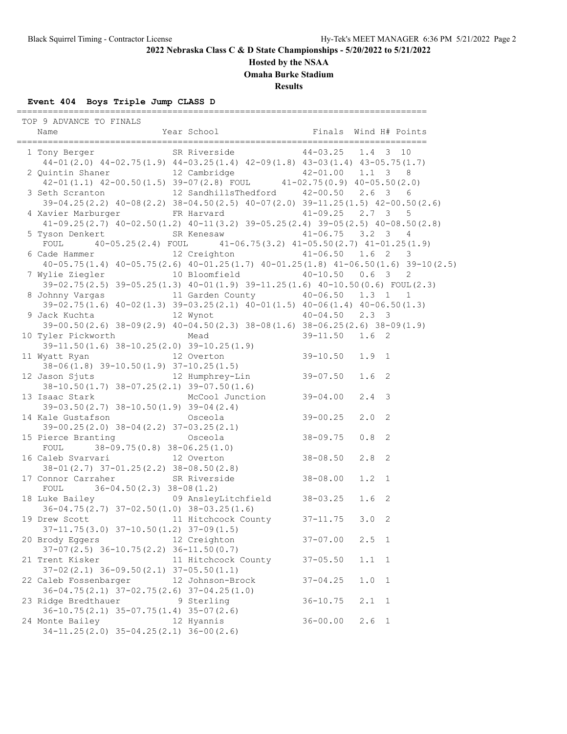**Hosted by the NSAA**

**Omaha Burke Stadium**

**Results**

## **Event 404 Boys Triple Jump CLASS D**

===============================================================================

| TOP 9 ADVANCE TO FINALS                                                                                                                                       |                     |              |                  |                            |
|---------------------------------------------------------------------------------------------------------------------------------------------------------------|---------------------|--------------|------------------|----------------------------|
| 1 Tony Berger SR Riverside 44-03.25 1.4 3 10<br>$44-01(2.0)$ $44-02.75(1.9)$ $44-03.25(1.4)$ $42-09(1.8)$ $43-03(1.4)$ $43-05.75(1.7)$                        |                     |              |                  |                            |
| 2 Quintin Shaner 12 Cambridge 42-01.00 1.1 3 8<br>42-01(1.1) 42-00.50(1.5) 39-07(2.8) FOUL 41-02.75(0.9) 40-05.50(2.0)                                        |                     |              |                  |                            |
| 3 Seth Scranton 12 SandhillsThedford 42-00.50 2.6 3 6                                                                                                         |                     |              |                  |                            |
| 39-04.25 (2.2) 40-08 (2.2) 38-04.50 (2.5) 40-07 (2.0) 39-11.25 (1.5) 42-00.50 (2.6)                                                                           |                     |              |                  |                            |
| 4 Xavier Marburger FR Harvard 41-09.25 2.7 3 5                                                                                                                |                     |              |                  |                            |
| $41-09.25(2.7)$ $40-02.50(1.2)$ $40-11(3.2)$ $39-05.25(2.4)$ $39-05(2.5)$ $40-08.50(2.8)$                                                                     |                     |              |                  |                            |
| 5 Tyson Denkert SR Kenesaw 41-06.75 3.2 3 4                                                                                                                   |                     |              |                  |                            |
| FOUL $40-05.25(2.4)$ FOUL $41-06.75(3.2)$ $41-05.50(2.7)$ $41-01.25(1.9)$<br>6 Cade Hammer 12 Creighton 41-06.50 1.6 2 3                                      |                     |              |                  |                            |
| $40-05.75(1.4)$ $40-05.75(2.6)$ $40-01.25(1.7)$ $40-01.25(1.8)$ $41-06.50(1.6)$ $39-10(2.5)$                                                                  |                     |              |                  |                            |
| 7 Wylie Ziegler 10 Bloomfield 40-10.50 0.6 3                                                                                                                  |                     |              |                  | 2                          |
| 39-02.75(2.5) 39-05.25(1.3) 40-01(1.9) 39-11.25(1.6) 40-10.50(0.6) FOUL(2.3)                                                                                  |                     |              |                  |                            |
| 8 Johnny Vargas 11 Garden County 40-06.50 1.3 1 1<br>39-02.75(1.6) $40-02(1.3)$ 39-03.25(2.1) $40-01(1.5)$ $40-06(1.4)$ $40-06.50(1.3)$                       |                     |              |                  |                            |
|                                                                                                                                                               |                     |              |                  |                            |
| 9 Jack Kuchta                 12 Wynot             40-04.50   2.3   3                                                                                         |                     |              |                  |                            |
| $39-00.50(2.6)$ $38-09(2.9)$ $40-04.50(2.3)$ $38-08(1.6)$ $38-06.25(2.6)$ $38-09(1.9)$                                                                        |                     |              |                  |                            |
| 10 Tyler Pickworth Mead<br>yler Pickworth Mead 39-11.50 1.6 2<br>39-11.50 (1.6) 38-10.25 (2.0) 39-10.25 (1.9)<br>What Buss                                    |                     |              |                  |                            |
|                                                                                                                                                               |                     |              |                  |                            |
|                                                                                                                                                               |                     |              |                  |                            |
| 39-11.50(1.6) 38-10.25(2.0) 39-10.25(1.9)<br>11 Wyatt Ryan 12 Overton 38-06(1.8) 39-10.50(1.9) 37-10.25(1.5)<br>12 Jason Sjuts 12 Humphrey-Lin 39-07.50 1.6 2 |                     |              |                  |                            |
| $38-10.50(1.7)$ $38-07.25(2.1)$ $39-07.50(1.6)$                                                                                                               |                     |              |                  |                            |
| 13 Isaac Stark McCool Junction 39-04.00                                                                                                                       |                     |              | $2.4 - 3$        |                            |
| $39-03.50(2.7)$ $38-10.50(1.9)$ $39-04(2.4)$                                                                                                                  |                     |              |                  |                            |
| 14 Kale Gustafson Martin Osceola                                                                                                                              |                     | $39 - 00.25$ | $2.0$ 2          |                            |
| $39-00.25(2.0)$ $38-04(2.2)$ $37-03.25(2.1)$                                                                                                                  |                     | $38 - 09.75$ | 0.8              | $\overline{\phantom{0}}^2$ |
| 15 Pierce Branting 0sceola<br>FOUI 38-09 75/0 81 38-06 25/1 01<br>FOUL $38-09.75(0.8) 38-06.25(1.0)$                                                          |                     |              |                  |                            |
| 16 Caleb Svarvari 12 Overton 38-08.50<br>38-01(2.7) 37-01.25(2.2) 38-08.50(2.8)<br>17 Connor Carrabor 2018                                                    |                     |              | $2.8$ 2          |                            |
|                                                                                                                                                               |                     |              |                  |                            |
| 17 Connor Carraher SR Riverside 38-08.00                                                                                                                      |                     |              | $1.2 \quad 1$    |                            |
| FOUL $36-04.50(2.3) 38-08(1.2)$                                                                                                                               |                     |              |                  |                            |
| 18 Luke Bailey 69 AnsleyLitchfield 38-03.25                                                                                                                   |                     |              | 1.6 <sub>2</sub> |                            |
| $36-04.75(2.7)$ $37-02.50(1.0)$ $38-03.25(1.6)$<br>19 Drew Scott 11 Hitchcock County 37-11.75 3.0 2                                                           |                     |              |                  |                            |
| $37-11.75(3.0)$ $37-10.50(1.2)$ $37-09(1.5)$                                                                                                                  |                     |              |                  |                            |
| 20 Brody Eggers                                                                                                                                               | 12 Creighton        | $37 - 07.00$ | 2.5 1            |                            |
| $37-07(2.5)$ $36-10.75(2.2)$ $36-11.50(0.7)$                                                                                                                  |                     |              |                  |                            |
| 21 Trent Kisker                                                                                                                                               | 11 Hitchcock County | $37 - 05.50$ | 1.1              | $\overline{1}$             |
| $37-02(2.1)$ $36-09.50(2.1)$ $37-05.50(1.1)$                                                                                                                  |                     |              |                  |                            |
| 22 Caleb Fossenbarger                                                                                                                                         | 12 Johnson-Brock    | $37 - 04.25$ | $1.0$            | $\mathbf{1}$               |
| $36-04.75(2.1)$ $37-02.75(2.6)$ $37-04.25(1.0)$<br>23 Ridge Bredthauer                                                                                        |                     |              |                  |                            |
| $36-10.75(2.1)$ $35-07.75(1.4)$ $35-07(2.6)$                                                                                                                  | 9 Sterling          | $36 - 10.75$ | 2.1              | $\mathbf{1}$               |
| 24 Monte Bailey                                                                                                                                               | 12 Hyannis          | $36 - 00.00$ | $2.6 \quad 1$    |                            |
| $34-11.25(2.0)$ $35-04.25(2.1)$ $36-00(2.6)$                                                                                                                  |                     |              |                  |                            |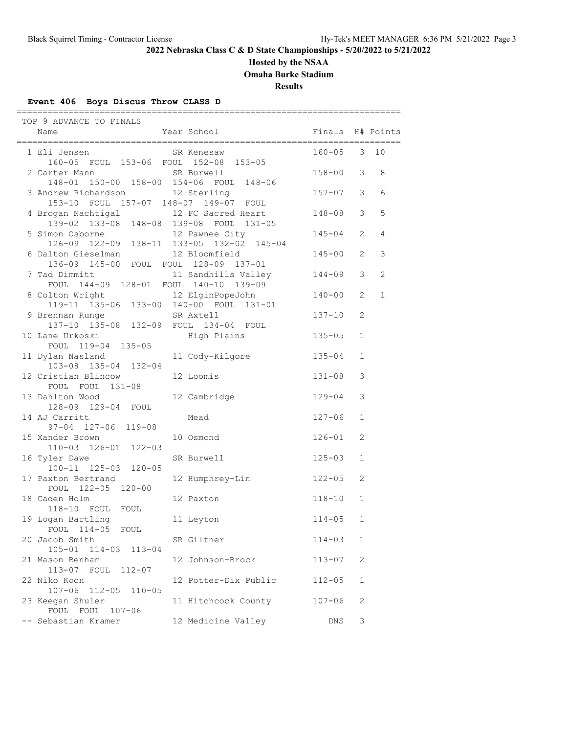## **Hosted by the NSAA**

**Omaha Burke Stadium**

**Results**

## **Event 406 Boys Discus Throw CLASS D**

| TOP 9 ADVANCE TO FINALS                                                     |                                                               |                  |                |                |
|-----------------------------------------------------------------------------|---------------------------------------------------------------|------------------|----------------|----------------|
| Name                                                                        | Year School                                                   | Finals H# Points |                |                |
| 1 Eli Jensen<br>160-05 FOUL 153-06 FOUL 152-08 153-05                       | SR Kenesaw                                                    | $160 - 05$ 3     |                | 10             |
| 2 Carter Mann SR Burwell<br>148-01 150-00 158-00 154-06 FOUL 148-06         |                                                               | $158 - 00$ 3     |                | 8              |
| 3 Andrew Richardson 12 Sterling<br>153-10 FOUL 157-07 148-07 149-07 FOUL    |                                                               | $157 - 07$ 3     |                | 6              |
| 4 Brogan Nachtigal                                                          | 12 FC Sacred Heart<br>139-02 133-08 148-08 139-08 FOUL 131-05 | 148-08           | 3              | 5              |
| 5 Simon Osborne 12 Pawnee City<br>126-09 122-09 138-11 133-05 132-02 145-04 |                                                               | $145 - 04$       | 2              | $\overline{4}$ |
| 6 Dalton Gieselman 12 Bloomfield<br>136-09 145-00 FOUL FOUL 128-09 137-01   |                                                               | $145 - 00$       | 2              | 3              |
| 7 Tad Dimmitt<br>FOUL 144-09 128-01 FOUL 140-10 139-09                      | 11 Sandhills Valley                                           | $144 - 09$       | 3              | $\overline{c}$ |
| 8 Colton Wright<br>119-11 135-06 133-00 140-00 FOUL 131-01                  |                                                               | $140 - 00$       | $\overline{2}$ | $\mathbf 1$    |
| 9 Brennan Runge SR Axtell<br>137-10 135-08 132-09 FOUL 134-04 FOUL          |                                                               | $137 - 10$       | 2              |                |
| 10 Lane Urkoski<br>FOUL 119-04 135-05                                       | High Plains                                                   | $135 - 05$       | $\mathbf 1$    |                |
| 11 Dylan Nasland<br>103-08 135-04 132-04                                    | 11 Cody-Kilgore                                               | $135 - 04$       | $\mathbf{1}$   |                |
| 12 Cristian Blincow<br>FOUL FOUL 131-08                                     | 12 Loomis                                                     | $131 - 08$       | 3              |                |
| 13 Dahlton Wood<br>128-09 129-04 FOUL                                       | 12 Cambridge                                                  | 129-04           | 3              |                |
| 14 AJ Carritt<br>97-04 127-06 119-08                                        | Mead                                                          | $127 - 06$       | $\mathbf{1}$   |                |
| 15 Xander Brown<br>110-03 126-01 122-03                                     | 10 Osmond                                                     | $126 - 01$       | $\mathfrak{D}$ |                |
| 16 Tyler Dawe<br>100-11 125-03 120-05                                       | SR Burwell                                                    | $125 - 03$       | $\mathbf{1}$   |                |
| 17 Paxton Bertrand<br>FOUL 122-05 120-00                                    | 12 Humphrey-Lin                                               | $122 - 05$       | 2              |                |
| 18 Caden Holm<br>118-10 FOUL FOUL                                           | 12 Paxton                                                     | $118 - 10$       | 1              |                |
| 19 Logan Bartling<br>FOUL 114-05 FOUL                                       | 11 Leyton                                                     | $114 - 05$       | $\mathbf 1$    |                |
| 20 Jacob Smith<br>105-01 114-03 113-04                                      | SR Giltner                                                    | $114 - 03$       | 1              |                |
| 21 Mason Benham<br>113-07 FOUL 112-07                                       | 12 Johnson-Brock                                              | $113 - 07$       | 2              |                |
| 22 Niko Koon<br>107-06 112-05 110-05                                        | 12 Potter-Dix Public                                          | $112 - 05$       | 1              |                |
| 23 Keegan Shuler<br>FOUL FOUL 107-06                                        | 11 Hitchcock County                                           | $107 - 06$       | 2              |                |
| -- Sebastian Kramer                                                         | 12 Medicine Valley                                            | DNS              | 3              |                |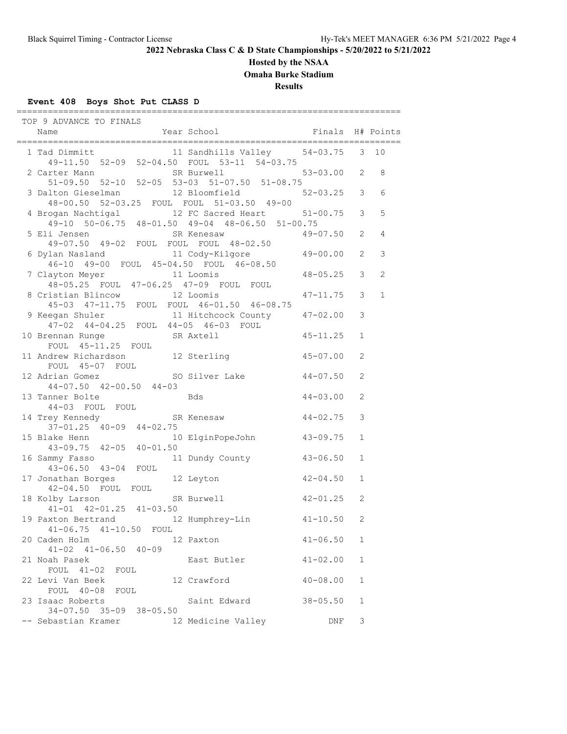### **Hosted by the NSAA**

**Omaha Burke Stadium**

**Results**

### **Event 408 Boys Shot Put CLASS D**

 TOP 9 ADVANCE TO FINALS Name The Year School The Finals H# Points ========================================================================== 1 Tad Dimmitt 11 Sandhills Valley 54-03.75 3 10 49-11.50 52-09 52-04.50 FOUL 53-11 54-03.75 2 Carter Mann SR Burwell 53-03.00 2 8 51-09.50 52-10 52-05 53-03 51-07.50 51-08.75 3 Dalton Gieselman 12 Bloomfield 52-03.25 3 6 48-00.50 52-03.25 FOUL FOUL 51-03.50 49-00 4 Brogan Nachtigal 12 FC Sacred Heart 51-00.75 3 5 49-10 50-06.75 48-01.50 49-04 48-06.50 51-00.75 5 Eli Jensen SR Kenesaw 49-07.50 49-02 FOUL FOUL FOUL 48-02.50 6 Dylan Nasland 11 Cody-Kilgore 49-00.00 2 3 46-10 49-00 FOUL 45-04.50 FOUL 46-08.50 7 Clayton Meyer 11 Loomis 48-05.25 3 2 48-05.25 FOUL 47-06.25 47-09 FOUL FOUL 8 Cristian Blincow 12 Loomis 47-11.75 3 1 45-03 47-11.75 FOUL FOUL 46-01.50 46-08.75 9 Keegan Shuler 11 Hitchcock County 47-02.00 3 47-02 44-04.25 FOUL 44-05 46-03 FOUL 10 Brennan Runge SR Axtell 45-11.25 1 FOUL 45-11.25 FOUL 11 Andrew Richardson 12 Sterling 45-07.00 2 FOUL 45-07 FOUL 12 Adrian Gomez SO Silver Lake 44-07.50 2 44-07.50 42-00.50 44-03  $44 - 07.30$   $42 - 00.30$   $43$  Bds  $44 - 03.00$  2 44-03 FOUL FOUL 14 Trey Kennedy SR Kenesaw 44-02.75 3 37-01.25 40-09 44-02.75<br>15 Blake Henn 10 10 ElginPopeJohn 43-09.75 1 43-09.75 42-05 40-01.50 16 Sammy Fasso 11 Dundy County 43-06.50 1 43-06.50 43-04 FOUL<br>17 Jonathan Borges 17 Jonathan Borges 12 Leyton 42-04.50 1 42-04.50 FOUL FOUL 18 Kolby Larson SR Burwell 42-01.25 2 41-01 42-01.25 41-03.50 19 Paxton Bertrand 12 Humphrey-Lin 41-10.50 2 41-06.75 41-10.50 FOUL 20 Caden Holm 12 Paxton 41-06.50 1 41-02 41-06.50 40-09 21 Noah Pasek East Butler 41-02.00 1 FOUL 41-02 FOUL 22 Levi Van Beek 12 Crawford 40-08.00 1 FOUL 40-08 FOUL 23 Isaac Roberts Saint Edward 38-05.50 1 34-07.50 35-09 38-05.50 -- Sebastian Kramer 12 Medicine Valley DNF 3

==========================================================================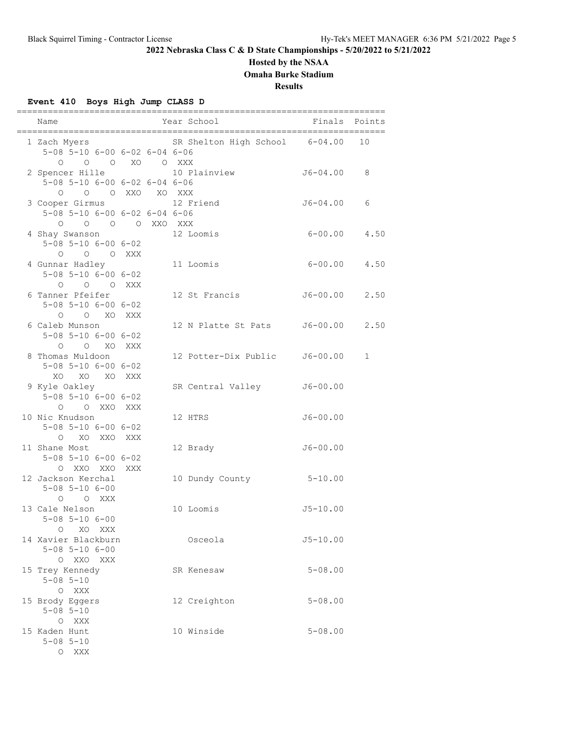## **Hosted by the NSAA**

**Omaha Burke Stadium**

**Results**

## **Event 410 Boys High Jump CLASS D**

| Name                                                                                  |  | Year School                    | Finals            | Points       |
|---------------------------------------------------------------------------------------|--|--------------------------------|-------------------|--------------|
| 1 Zach Myers<br>5-08 5-10 6-00 6-02 6-04 6-06                                         |  | SR Shelton High School 6-04.00 |                   | 10           |
| 0 0 0 XO 0 XXX<br>2 Spencer Hille<br>$5-08$ $5-10$ $6-00$ $6-02$ $6-04$ $6-06$        |  | 10 Plainview                   | J6-04.00          | 8            |
| O OXXO XOXXX<br>$\circ$                                                               |  |                                |                   |              |
| 3 Cooper Girmus<br>5-08 5-10 6-00 6-02 6-04 6-06                                      |  | 12 Friend                      | J6-04.00          | 6            |
| 0 0 0 0 XXO XXX<br>4 Shay Swanson<br>$5 - 08$ $5 - 10$ $6 - 00$ $6 - 02$<br>0 0 0 XXX |  | 12 Loomis                      | $6 - 00.00$       | 4.50         |
| 4 Gunnar Hadley<br>$5 - 08$ $5 - 10$ $6 - 00$ $6 - 02$<br>O O O XXX                   |  | 11 Loomis                      | $6 - 00.00$       | 4.50         |
| 6 Tanner Pfeifer<br>$5 - 08$ $5 - 10$ $6 - 00$ $6 - 02$<br>$O$ $O$ $XO$ $XXX$         |  | 12 St Francis                  | J6-00.00          | 2.50         |
| 6 Caleb Munson<br>$5 - 08$ $5 - 10$ $6 - 00$ $6 - 02$<br>O O XO XXX                   |  | 12 N Platte St Pats            | $J6 - 00.00$ 2.50 |              |
| 8 Thomas Muldoon<br>$5 - 08$ $5 - 10$ $6 - 00$ $6 - 02$<br>XO XO XO XXX               |  | 12 Potter-Dix Public           | $J6 - 00.00$      | $\mathbf{1}$ |
| 9 Kyle Oakley<br>$5 - 08$ $5 - 10$ $6 - 00$ $6 - 02$<br>O O XXO XXX                   |  | SR Central Valley              | $J6 - 00.00$      |              |
| 10 Nic Knudson<br>$5 - 08$ $5 - 10$ $6 - 00$ $6 - 02$<br>O XO XXO XXX                 |  | 12 HTRS                        | $J6 - 00.00$      |              |
| 11 Shane Most<br>$5 - 08$ $5 - 10$ $6 - 00$ $6 - 02$<br>O XXO XXO XXX                 |  | 12 Brady                       | $J6 - 00.00$      |              |
| 12 Jackson Kerchal<br>$5 - 08$ $5 - 10$ $6 - 00$<br>O XXX<br>$\circ$                  |  | 10 Dundy County                | $5 - 10.00$       |              |
| 13 Cale Nelson<br>$5 - 08$ $5 - 10$ $6 - 00$<br>$\circ$<br>XO XXX                     |  | 10 Loomis                      | $J5 - 10.00$      |              |
| 14 Xavier Blackburn<br>$5 - 08$ $5 - 10$ $6 - 00$<br>O XXO XXX                        |  | Osceola                        | $J5 - 10.00$      |              |
| 15 Trey Kennedy<br>$5 - 08$ $5 - 10$<br>O XXX                                         |  | SR Kenesaw                     | $5 - 08.00$       |              |
| 15 Brody Eggers<br>$5 - 08$ $5 - 10$<br>O XXX                                         |  | 12 Creighton                   | $5 - 08.00$       |              |
| 15 Kaden Hunt<br>$5 - 08$ $5 - 10$<br>O XXX                                           |  | 10 Winside                     | $5 - 08.00$       |              |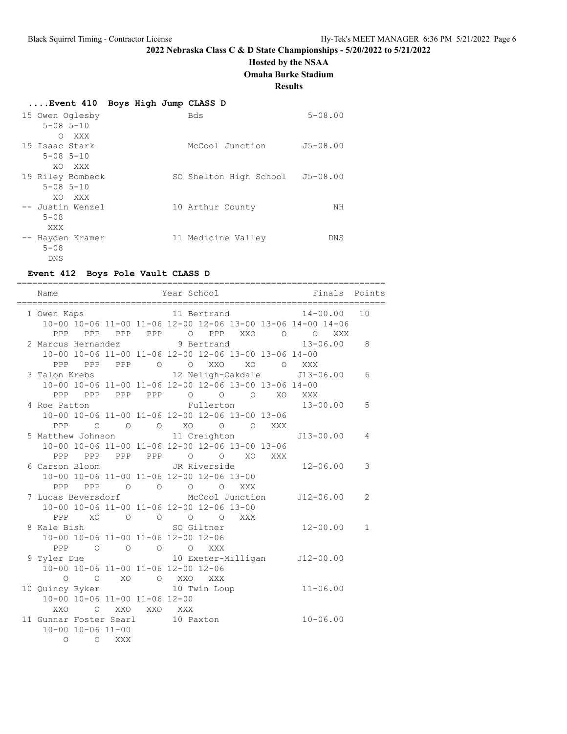### **Hosted by the NSAA**

**Omaha Burke Stadium**

#### **Results**

| Event 410 Boys High Jump CLASS D |  |  |  |
|----------------------------------|--|--|--|
|                                  |  |  |  |

| 15 Owen Oglesby   | Bds                    | $5 - 08.00$  |
|-------------------|------------------------|--------------|
| $5 - 08$ $5 - 10$ |                        |              |
| XXX<br>$\Omega$   |                        |              |
| 19 Isaac Stark    | McCool Junction        | $J5 - 08.00$ |
| $5 - 08$ $5 - 10$ |                        |              |
| XO XXX            |                        |              |
| 19 Riley Bombeck  | SO Shelton High School | $J5 - 08.00$ |
| $5 - 08$ $5 - 10$ |                        |              |
| XO XXX            |                        |              |
| -- Justin Wenzel  | 10 Arthur County       | NΗ           |
| $5 - 08$          |                        |              |
| XXX               |                        |              |
| -- Hayden Kramer  | 11 Medicine Valley     | DNS          |
| $5 - 08$          |                        |              |
| DNS               |                        |              |

#### **Event 412 Boys Pole Vault CLASS D**

======================================================================= Name Year School Finals Points ======================================================================= 1 Owen Kaps 11 Bertrand 14-00.00 10 10-00 10-06 11-00 11-06 12-00 12-06 13-00 13-06 14-00 14-06 PPP PPP PPP O PPP XXO O O XXX 2 Marcus Hernandez 9 Bertrand 13-06.00 8 10-00 10-06 11-00 11-06 12-00 12-06 13-00 13-06 14-00 PPP PPP PPP O O XXO XO O XXX 3 Talon Krebs 12 Neligh-Oakdale J13-06.00 6 10-00 10-06 11-00 11-06 12-00 12-06 13-00 13-06 14-00 PPP PPP PPP PPP O O O XO XXX 4 Roe Patton Fullerton 13-00.00 5 10-00 10-06 11-00 11-06 12-00 12-06 13-00 13-06 PPP O O O XO O O XXX 5 Matthew Johnson 11 Creighton J13-00.00 4 10-00 10-06 11-00 11-06 12-00 12-06 13-00 13-06 PPP PPP PPP PPP O O XO XXX 6 Carson Bloom JR Riverside 12-06.00 3 10-00 10-06 11-00 11-06 12-00 12-06 13-00 PPP PPP O O O O XXX 7 Lucas Beversdorf McCool Junction J12-06.00 2 10-00 10-06 11-00 11-06 12-00 12-06 13-00 PPP XO O O O O XXX 8 Kale Bish SO Giltner 12-00.00 1 10-00 10-06 11-00 11-06 12-00 12-06 PPP O O O O XXX 9 Tyler Due 10 Exeter-Milligan J12-00.00 10-00 10-06 11-00 11-06 12-00 12-06 O O XO O XXO XXX 10 Quincy Ryker 10 Twin Loup 11-06.00 10-00 10-06 11-00 11-06 12-00 XXO O XXO XXO XXX 11 Gunnar Foster Searl 10 Paxton 10-06.00 10-00 10-06 11-00 O O XXX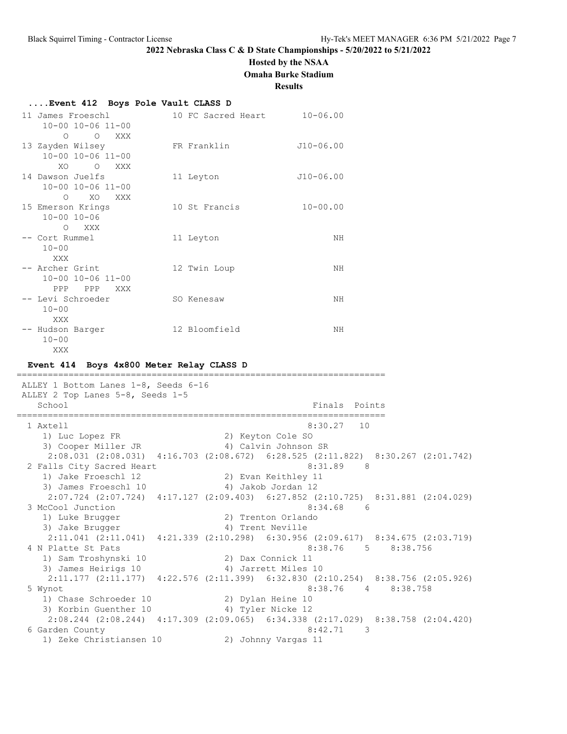## **Hosted by the NSAA Omaha Burke Stadium**

**Results**

### **....Event 412 Boys Pole Vault CLASS D**

| 11 James Froeschl                         | 10-00 10-06 11-00                                      | 10 FC Sacred Heart | $10 - 06.00$ |
|-------------------------------------------|--------------------------------------------------------|--------------------|--------------|
| $\Omega$<br>13 Zayden Wilsey              | $\overline{O}$<br>XXX<br>$10 - 00$ $10 - 06$ $11 - 00$ | FR Franklin        | $J10-06.00$  |
| XO.<br>14 Dawson Juelfs                   | $\circ$<br>XXX<br>10-00 10-06 11-00<br>XO              | 11 Leyton          | $J10-06.00$  |
| $\Omega$<br>15 Emerson Krings<br>$\Omega$ | XXX<br>$10 - 00$ $10 - 06$<br>XXX                      | 10 St Francis      | $10 - 00.00$ |
| -- Cort Rummel<br>$10 - 00$<br>XXX        |                                                        | 11 Leyton          | NH           |
| -- Archer Grint                           | $10 - 00$ $10 - 06$ $11 - 00$<br>PPP PPP<br>XXX        | 12 Twin Loup       | NH           |
| -- Levi Schroeder<br>$10 - 00$<br>XXX     |                                                        | SO Kenesaw         | ΝH           |
| -- Hudson Barger<br>$10 - 00$<br>XXX.     |                                                        | 12 Bloomfield      | NH           |

#### **Event 414 Boys 4x800 Meter Relay CLASS D**

======================================================================= ALLEY 1 Bottom Lanes 1-8, Seeds 6-16 ALLEY 2 Top Lanes 5-8, Seeds 1-5 School **Finals** Points **Points** Points **Points** Points **Points** Points **Points** Points **Points Points Points Points Points Points Points Points Points Points Points Points Points Points Points** ======================================================================= 1 Axtell 8:30.27 10 1) Luc Lopez FR 2) Keyton Cole SO 3) Cooper Miller JR 1997 (Alvin Johnson SR 2:08.031 (2:08.031) 4:16.703 (2:08.672) 6:28.525 (2:11.822) 8:30.267 (2:01.742) 2 Falls City Sacred Heart 8:31.89 8 1) Jake Froeschl 12 2) Evan Keithley 11 3) James Froeschl 10  $\hskip1cm$  4) Jakob Jordan 12 2:07.724 (2:07.724) 4:17.127 (2:09.403) 6:27.852 (2:10.725) 8:31.881 (2:04.029) 3 McCool Junction 1) Luke Brugger 2) Trenton Orlando 3) Jake Brugger (4) Trent Neville 2:11.041 (2:11.041) 4:21.339 (2:10.298) 6:30.956 (2:09.617) 8:34.675 (2:03.719) 4 N Platte St Pats 2014 12:38.76 8:38.76 8:38.756 8:38.756 1) Sam Troshynski 10 2) Dax Connick 11 3) James Heirigs 10 (4) Jarrett Miles 10 2:11.177 (2:11.177) 4:22.576 (2:11.399) 6:32.830 (2:10.254) 8:38.756 (2:05.926) 5 Wynot 8:38.76 4 8:38.758 1) Chase Schroeder 10 2) Dylan Heine 10 3) Korbin Guenther 10 <a>
4) Tyler Nicke 12 2:08.244 (2:08.244) 4:17.309 (2:09.065) 6:34.338 (2:17.029) 8:38.758 (2:04.420) 6 Garden County 8:42.71 3 1) Zeke Christiansen 10 2) Johnny Vargas 11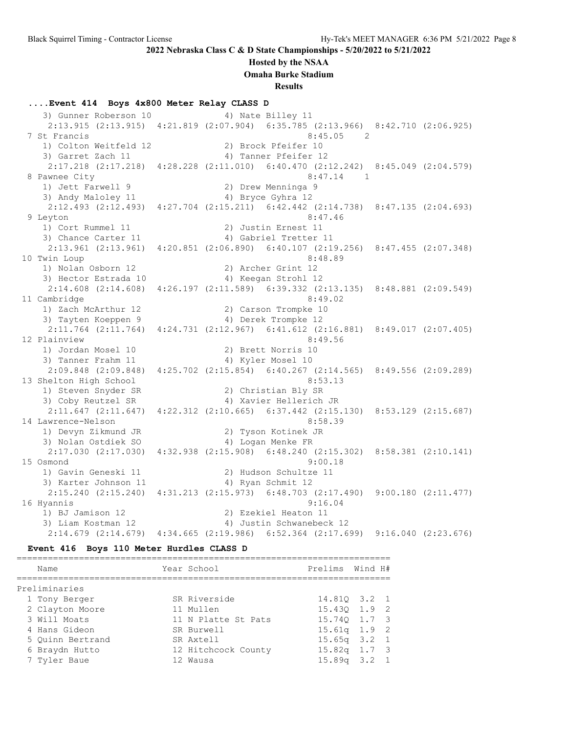### **Hosted by the NSAA**

**Omaha Burke Stadium**

**Results**

### **....Event 414 Boys 4x800 Meter Relay CLASS D**

3) Gunner Roberson 10 4) Nate Billey 11 2:13.915 (2:13.915) 4:21.819 (2:07.904) 6:35.785 (2:13.966) 8:42.710 (2:06.925) 7 St Francis 8:45.05 2 1) Colton Weitfeld 12 2) Brock Pfeifer 10 3) Garret Zach 11 4) Tanner Pfeifer 12 2:17.218 (2:17.218) 4:28.228 (2:11.010) 6:40.470 (2:12.242) 8:45.049 (2:04.579) 8 Pawnee City 8:47.14 1 1) Jett Farwell 9 2) Drew Menninga 9 3) Andy Maloley 11 4) Bryce Gyhra 12 2:12.493 (2:12.493) 4:27.704 (2:15.211) 6:42.442 (2:14.738) 8:47.135 (2:04.693) 9 Leyton 8:47.46 1) Cort Rummel 11 2) Justin Ernest 11 3) Chance Carter 11 4) Gabriel Tretter 11 2:13.961 (2:13.961) 4:20.851 (2:06.890) 6:40.107 (2:19.256) 8:47.455 (2:07.348) 10 Twin Loup 8:48.89 1) Nolan Osborn 12 2) Archer Grint 12 3) Hector Estrada 10 <a>> 4) Keegan Strohl 12 2:14.608 (2:14.608) 4:26.197 (2:11.589) 6:39.332 (2:13.135) 8:48.881 (2:09.549) 11 Cambridge 8:49.02 1) Zach McArthur 12 2) Carson Trompke 10 3) Tayten Koeppen 9 4) Derek Trompke 12 2:11.764 (2:11.764) 4:24.731 (2:12.967) 6:41.612 (2:16.881) 8:49.017 (2:07.405) 12 Plainview 8:49.56 1) Jordan Mosel 10 2) Brett Norris 10 3) Tanner Frahm 11  $\hskip1cm$  4) Kyler Mosel 10 2:09.848 (2:09.848) 4:25.702 (2:15.854) 6:40.267 (2:14.565) 8:49.556 (2:09.289) 13 Shelton High School 8:53.13 1) Steven Snyder SR 2) Christian Bly SR 3) Coby Reutzel SR 4) Xavier Hellerich JR 2:11.647 (2:11.647) 4:22.312 (2:10.665) 6:37.442 (2:15.130) 8:53.129 (2:15.687) 14 Lawrence-Nelson 8:58.39 1) Devyn Zikmund JR 2) Tyson Kotinek JR 3) Nolan Ostdiek SO 4) Logan Menke FR 2:17.030 (2:17.030) 4:32.938 (2:15.908) 6:48.240 (2:15.302) 8:58.381 (2:10.141) 15 Osmond 9:00.18 1) Gavin Geneski 11 2) Hudson Schultze 11 3) Karter Johnson 11 4) Ryan Schmit 12 2:15.240 (2:15.240) 4:31.213 (2:15.973) 6:48.703 (2:17.490) 9:00.180 (2:11.477) 16 Hyannis 9:16.04 1) BJ Jamison 12 2) Ezekiel Heaton 11 3) Liam Kostman 12 4) Justin Schwanebeck 12 2:14.679 (2:14.679) 4:34.665 (2:19.986) 6:52.364 (2:17.699) 9:16.040 (2:23.676)

#### **Event 416 Boys 110 Meter Hurdles CLASS D**

| Name             | Year School         | Prelims Wind H#  |  |
|------------------|---------------------|------------------|--|
|                  |                     |                  |  |
| Preliminaries    |                     |                  |  |
| 1 Tony Berger    | SR Riverside        | 14.810 3.2 1     |  |
| 2 Clayton Moore  | 11 Mullen           | 15.430 1.9 2     |  |
| 3 Will Moats     | 11 N Platte St Pats | 15.740 1.7 3     |  |
| 4 Hans Gideon    | SR Burwell          | $15.61q$ $1.9$ 2 |  |
| 5 Ouinn Bertrand | SR Axtell           | $15.65q$ $3.2$ 1 |  |
| 6 Braydn Hutto   | 12 Hitchcock County | $15.82q$ 1.7 3   |  |
| 7 Tyler Baue     | 12 Wausa            | $15.89q$ $3.2$ 1 |  |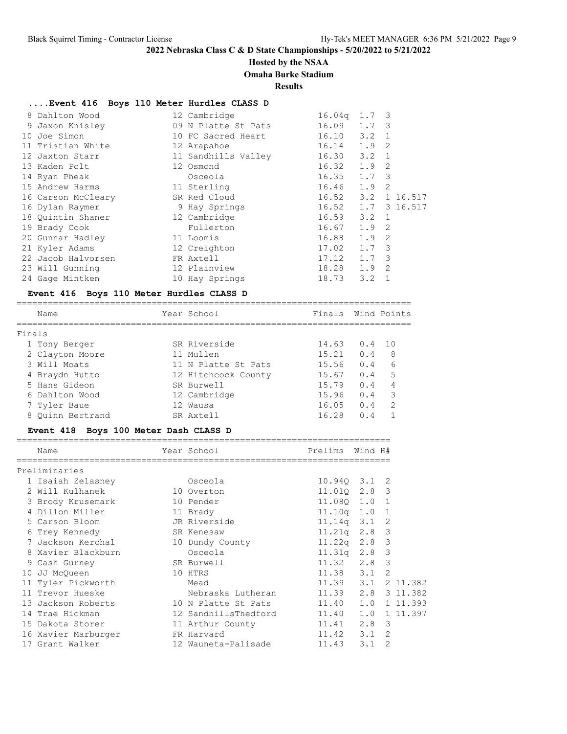### **Hosted by the NSAA**

#### **Omaha Burke Stadium**

**Results**

### **....Event 416 Boys 110 Meter Hurdles CLASS D**

| 8 Dahlton Wood     | 12 Cambridge        | 16.04q | $1.7-3$       |                |              |
|--------------------|---------------------|--------|---------------|----------------|--------------|
| 9 Jaxon Knisley    | 09 N Platte St Pats | 16.09  | $1.7-3$       |                |              |
| 10 Joe Simon       | 10 FC Sacred Heart  | 16.10  | 3.2           | $\overline{1}$ |              |
| 11 Tristian White  | 12 Arapahoe         | 16.14  | $1.9$ 2       |                |              |
| 12 Jaxton Starr    | 11 Sandhills Valley | 16.30  | $3.2 \quad 1$ |                |              |
| 13 Kaden Polt      | 12 Osmond           | 16.32  | $1.9$ 2       |                |              |
| 14 Ryan Pheak      | Osceola             | 16.35  | $1.7-3$       |                |              |
| 15 Andrew Harms    | 11 Sterling         | 16.46  | $1.9 \quad 2$ |                |              |
| 16 Carson McCleary | SR Red Cloud        | 16.52  | 3.2           |                | 1 16.517     |
| 16 Dylan Raymer    | 9 Hay Springs       | 16.52  |               |                | 1.7 3 16.517 |
| 18 Quintin Shaner  | 12 Cambridge        | 16.59  | $3.2 \quad 1$ |                |              |
| 19 Brady Cook      | Fullerton           | 16.67  | $1.9 \quad 2$ |                |              |
| 20 Gunnar Hadley   | 11 Loomis           | 16.88  | $1.9$ 2       |                |              |
| 21 Kyler Adams     | 12 Creighton        | 17.02  | $1.7-3$       |                |              |
| 22 Jacob Halvorsen | FR Axtell           | 17.12  | $1.7 \quad 3$ |                |              |
| 23 Will Gunning    | 12 Plainview        | 18.28  | $1.9 \quad 2$ |                |              |
| 24 Gage Mintken    | 10 Hay Springs      | 18.73  | 3.2           |                |              |

#### **Event 416 Boys 110 Meter Hurdles CLASS D**

============================================================================ Name The Year School The Finals Wind Points ============================================================================ Finals 1 Tony Berger SR Riverside 14.63 0.4 10 2 Clayton Moore 11 Mullen 15.21 0.4 8 3 Will Moats 11 N Platte St Pats 15.56 0.4 6 4 Braydn Hutto 12 Hitchcock County 15.67 0.4 5 5 Hans Gideon SR Burwell 15.79 0.4 4 6 Dahlton Wood 12 Cambridge 15.96 0.4 3 7 Tyler Baue 12 Wausa 16.05 0.4 2 8 Quinn Bertrand SR Axtell 16.28 0.4 1

### **Event 418 Boys 100 Meter Dash CLASS D**

|    | Name                | Year School          | Prelims            | Wind H#      |                |          |
|----|---------------------|----------------------|--------------------|--------------|----------------|----------|
|    | Preliminaries       |                      |                    |              |                |          |
|    | 1 Isaiah Zelasney   | Osceola              | $10.940$ $3.1$ 2   |              |                |          |
|    | 2 Will Kulhanek     | 10 Overton           | 11.010 2.8 3       |              |                |          |
|    | 3 Brody Krusemark   | 10 Pender            | 11.080 1.0 1       |              |                |          |
|    | 4 Dillon Miller     | 11 Brady             | $11.10q$ 1.0 1     |              |                |          |
|    | 5 Carson Bloom      | JR Riverside         | $11.14q$ $3.1$ 2   |              |                |          |
|    | 6 Trey Kennedy      | SR Kenesaw           | $11.21q$ 2.8 3     |              |                |          |
|    | 7 Jackson Kerchal   | 10 Dundy County      | $11.22q$ $2.8$     |              | 3              |          |
|    | 8 Xavier Blackburn  | Osceola              | $11.31q$ $2.8$     |              | 3              |          |
|    | 9 Cash Gurney       | SR Burwell           | $11.32 \t2.8$      |              | 3              |          |
| 10 | JJ McOueen          | 10 HTRS              | $11.38$ $3.1$      |              | 2              |          |
|    | 11 Tyler Pickworth  | Mead                 | 11.39 3.1 2 11.382 |              |                |          |
|    | 11 Trevor Hueske    | Nebraska Lutheran    | 11.39 2.8 3 11.382 |              |                |          |
|    | 13 Jackson Roberts  | 10 N Platte St Pats  | 11.40 1.0          |              |                | 1 11.393 |
|    | 14 Trae Hickman     | 12 SandhillsThedford | 11.40              | 1.0 1 11.397 |                |          |
|    | 15 Dakota Storer    | 11 Arthur County     | $11.41$ $2.8$      |              | 3              |          |
|    | 16 Xavier Marburger | FR Harvard           | $11.42 \t3.1$      |              | 2              |          |
|    | 17 Grant Walker     | 12 Wauneta-Palisade  | 11.43              | 3.1          | $\mathfrak{D}$ |          |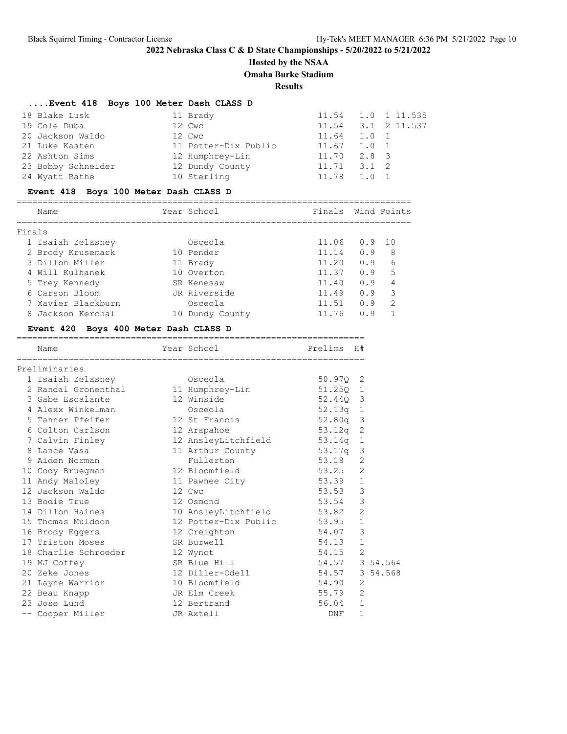## **Hosted by the NSAA**

**Omaha Burke Stadium**

**Results**

## **....Event 418 Boys 100 Meter Dash CLASS D**

| 18 Blake Lusk      | 11 Brady             |                 | 11.54 1.0 1 11.535     |
|--------------------|----------------------|-----------------|------------------------|
| 19 Cole Duba       | 12 Cwc               |                 | $11.54$ $3.1$ 2 11.537 |
| 20 Jackson Waldo   | 12 Cwc               | 11.64 1.0 1     |                        |
| 21 Luke Kasten     | 11 Potter-Dix Public | $11.67$ $1.0$ 1 |                        |
| 22 Ashton Sims     | 12 Humphrey-Lin      | $11.70$ $2.8$ 3 |                        |
| 23 Bobby Schneider | 12 Dundy County      | $11.71$ $3.1$ 2 |                        |
| 24 Wyatt Rathe     | 10 Sterling          | 11.78 1.0 1     |                        |

## **Event 418 Boys 100 Meter Dash CLASS D**

| Name              |  | Year School | Finals Wind Points |     |     |  |  |
|-------------------|--|-------------|--------------------|-----|-----|--|--|
|                   |  |             |                    |     |     |  |  |
| Finals            |  |             |                    |     |     |  |  |
| 1 Isaiah Zelasney |  | Osceola     | 11.06 0.9 10       |     |     |  |  |
| 2 Brody Krusemark |  | 10 Pender   | 11.14              | n 9 | - 8 |  |  |

| 7 DIOUV NIUSEMAIK  | TA RENAST       | 11.14 U.Y O    |         |  |
|--------------------|-----------------|----------------|---------|--|
| 3 Dillon Miller    | 11 Brady        | 11.20          | 0.96    |  |
| 4 Will Kulhanek    | 10 Overton      | $11.37 \t0.95$ |         |  |
| 5 Trey Kennedy     | SR Kenesaw      | 11.40          | $0.9$ 4 |  |
| 6 Carson Bloom     | JR Riverside    | $11.49$ 0.9 3  |         |  |
| 7 Xavier Blackburn | Osceola         | 11.51          | 0.92    |  |
| 8 Jackson Kerchal  | 10 Dundy County | 11.76 0.9 1    |         |  |

## **Event 420 Boys 400 Meter Dash CLASS D**

| Name                                         | Year School                  | Prelims H#     |                |  |
|----------------------------------------------|------------------------------|----------------|----------------|--|
| Preliminaries                                |                              |                |                |  |
| 1 Isaiah Zelasney                            | Osceola                      | 50.970 2       |                |  |
| 2 Randal Gronenthal 11 Humphrey-Lin          |                              | 51.250 1       |                |  |
| 3 Gabe Escalante                             | 12 Winside                   | 52.440 3       |                |  |
| 4 Alexx Winkelman                            | Osceola                      | $52.13q$ 1     |                |  |
| 5 Tanner Pfeifer                             | 12 St Francis                | 52.80q 3       |                |  |
| 6 Colton Carlson 12 Arapahoe                 |                              | 53.12q 2       |                |  |
| 7 Calvin Finley                              | 12 AnsleyLitchfield 53.14q 1 |                |                |  |
| 8 Lance Vasa                                 | 11 Arthur County 53.17q 3    |                |                |  |
| 9 Aiden Norman                               | Fullerton                    | 53.18          | 2              |  |
| 10 Cody Bruegman                             | 12 Bloomfield                | 53.25 2        |                |  |
| 11 Andy Maloley                              | 11 Pawnee City               | 53.39          | $\mathbf{1}$   |  |
| 12 Jackson Waldo                             | 12 Cwc                       | 53.53          | 3              |  |
| 13 Bodie True                                | 12 Osmond                    | 53.54          | $\mathcal{E}$  |  |
| 14 Dillon Haines                             | 10 AnsleyLitchfield 53.82    |                | $\overline{2}$ |  |
| 15 Thomas Muldoon 12 Potter-Dix Public 53.95 |                              |                | $\mathbf{1}$   |  |
| 16 Brody Eqgers                              | 12 Creighton                 | 54.07          | 3              |  |
| 17 Triston Moses<br>SR Burwell               |                              | 54.13          | $\mathbf{1}$   |  |
| 18 Charlie Schroeder 12 Wynot                |                              | $54.15$ 2      |                |  |
| 19 MJ Coffey                                 | SR Blue Hill                 | 54.57 3 54.564 |                |  |
| 20 Zeke Jones                                | 12 Diller-Odell              | 54.57 3 54.568 |                |  |
| 21 Layne Warrior                             | 10 Bloomfield                | 54.90          | 2              |  |
| 22 Beau Knapp                                | JR Elm Creek                 | 55.79          | 2              |  |
| 23 Jose Lund                                 | 12 Bertrand                  | 56.04          | $\mathbf{1}$   |  |
| -- Cooper Miller                             | JR Axtell                    | DNF            | $\mathbf{1}$   |  |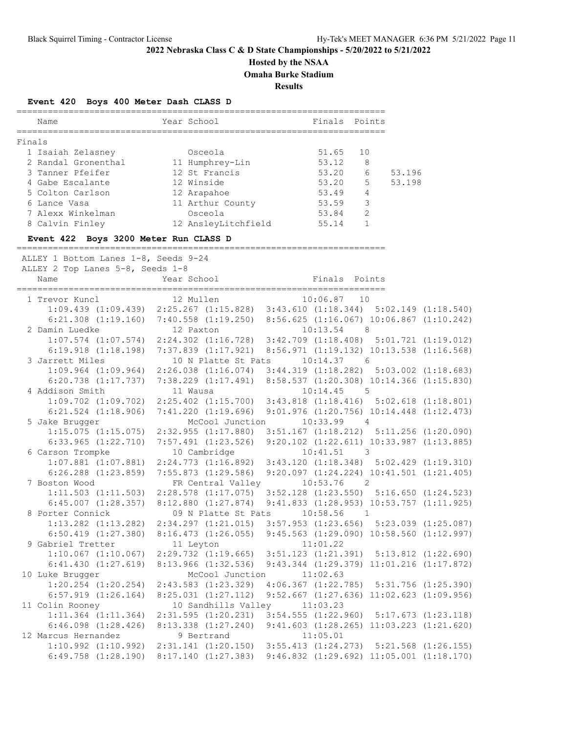# **Hosted by the NSAA**

**Omaha Burke Stadium**

**Results**

## **Event 420 Boys 400 Meter Dash CLASS D**

| Name                                           | Year School                                                                                      | Finals Points |              |        |
|------------------------------------------------|--------------------------------------------------------------------------------------------------|---------------|--------------|--------|
| Finals                                         |                                                                                                  |               |              |        |
| 1 Isaiah Zelasney               Osceola        |                                                                                                  | 51.65 10      |              |        |
| 2 Randal Gronenthal 11 Humphrey-Lin            |                                                                                                  | 53.12         | 8            |        |
| 3 Tanner Pfeifer 12 St Francis                 |                                                                                                  | $53.20$ 6     |              | 53.196 |
| 4 Gabe Escalante 12 Winside                    |                                                                                                  | 53.20 5       |              | 53.198 |
| 5 Colton Carlson 12 Arapahoe                   |                                                                                                  | 53.49 4       |              |        |
| 6 Lance Vasa <b>11 Arthur County</b> 53.59 3   |                                                                                                  |               |              |        |
| 7 Alexx Winkelman                              | Osceola                                                                                          | $53.84$ 2     |              |        |
| 8 Calvin Finley                                | 12 AnsleyLitchfield 55.14                                                                        |               | $\mathbf{1}$ |        |
| Event 422 Boys 3200 Meter Run CLASS D          |                                                                                                  |               |              |        |
| ALLEY 1 Bottom Lanes 1-8, Seeds 9-24           |                                                                                                  |               |              |        |
| ALLEY 2 Top Lanes 5-8, Seeds 1-8               |                                                                                                  |               |              |        |
| Name                                           | Year School                                                                                      | Finals Points |              |        |
| 1 Trevor Kuncl                                 | 12 Mullen                                                                                        | $10:06.87$ 10 |              |        |
|                                                | $1:09.439$ $(1:09.439)$ $2:25.267$ $(1:15.828)$ $3:43.610$ $(1:18.344)$ $5:02.149$ $(1:18.540)$  |               |              |        |
|                                                | $6:21.308$ $(1:19.160)$ $7:40.558$ $(1:19.250)$ $8:56.625$ $(1:16.067)$ $10:06.867$ $(1:10.242)$ |               |              |        |
| 2 Damin Luedke 12 Paxton                       |                                                                                                  | $10:13.54$ 8  |              |        |
|                                                | $1:07.574$ $(1:07.574)$ $2:24.302$ $(1:16.728)$ $3:42.709$ $(1:18.408)$ $5:01.721$ $(1:19.012)$  |               |              |        |
|                                                | 6:19.918 (1:18.198) 7:37.839 (1:17.921) 8:56.971 (1:19.132) 10:13.538 (1:16.568)                 |               |              |        |
| 3 Jarrett Miles 10 N Platte St Pats 10:14.37 6 |                                                                                                  |               |              |        |
|                                                |                                                                                                  |               |              |        |

|                                                | 0:19.918 (1:18.198) 7:37.839 (1:17.921) 8:56.971 (1:19.132) 10:13.538 (1:16.568)                 |                         |  |
|------------------------------------------------|--------------------------------------------------------------------------------------------------|-------------------------|--|
| 3 Jarrett Miles 10 N Platte St Pats 10:14.37 6 |                                                                                                  |                         |  |
|                                                | $1:09.964$ $(1:09.964)$ $2:26.038$ $(1:16.074)$ $3:44.319$ $(1:18.282)$ $5:03.002$ $(1:18.683)$  |                         |  |
|                                                | 6:20.738 (1:17.737) 7:38.229 (1:17.491) 8:58.537 (1:20.308) 10:14.366 (1:15.830)                 |                         |  |
| 4 Addison Smith 11 Wausa                       |                                                                                                  | $10:14.45$ 5            |  |
|                                                | $1:09.702$ $(1:09.702)$ $2:25.402$ $(1:15.700)$ $3:43.818$ $(1:18.416)$ $5:02.618$ $(1:18.801)$  |                         |  |
|                                                | 6:21.524 (1:18.906) 7:41.220 (1:19.696) 9:01.976 (1:20.756) 10:14.448 (1:12.473)                 |                         |  |
| 5 Jake Brugger                                 | McCool Junction                                                                                  | $10:33.99$ 4            |  |
|                                                | 1:15.075 (1:15.075) 2:32.955 (1:17.880) 3:51.167 (1:18.212) 5:11.256 (1:20.090)                  |                         |  |
| $6:33.965$ $(1:22.710)$                        | 7:57.491 (1:23.526) 9:20.102 (1:22.611) 10:33.987 (1:13.885)                                     |                         |  |
| 6 Carson Trompke                               |                                                                                                  | 10 Cambridge 10:41.51 3 |  |
|                                                | $1:07.881$ (1:07.881) $2:24.773$ (1:16.892) $3:43.120$ (1:18.348) $5:02.429$ (1:19.310)          |                         |  |
|                                                | 6:26.288 (1:23.859) 7:55.873 (1:29.586) 9:20.097 (1:24.224) 10:41.501 (1:21.405)                 |                         |  |
| 7 Boston Wood                                  | FR Central Valley 10:53.76 2                                                                     |                         |  |
|                                                | 1:11.503 (1:11.503) 2:28.578 (1:17.075) 3:52.128 (1:23.550) 5:16.650 (1:24.523)                  |                         |  |
|                                                | 6:45.007 (1:28.357) 8:12.880 (1:27.874) 9:41.833 (1:28.953) 10:53.757 (1:11.925)                 |                         |  |
| 8 Porter Connick                               | 09 N Platte St Pats 10:58.56 1                                                                   |                         |  |
|                                                | 1:13.282 (1:13.282) 2:34.297 (1:21.015) 3:57.953 (1:23.656) 5:23.039 (1:25.087)                  |                         |  |
|                                                | 6:50.419 (1:27.380) 8:16.473 (1:26.055) 9:45.563 (1:29.090) 10:58.560 (1:12.997)                 |                         |  |
| 9 Gabriel Tretter                              | 11 Leyton 11:01.22                                                                               |                         |  |
|                                                | 1:10.067 (1:10.067) 2:29.732 (1:19.665) 3:51.123 (1:21.391) 5:13.812 (1:22.690)                  |                         |  |
|                                                | 6:41.430 $(1:27.619)$ 8:13.966 $(1:32.536)$ 9:43.344 $(1:29.379)$ 11:01.216 $(1:17.872)$         |                         |  |
| 10 Luke Brugger McCool Junction 11:02.63       |                                                                                                  |                         |  |
|                                                | 1:20.254 (1:20.254) 2:43.583 (1:23.329) 4:06.367 (1:22.785) 5:31.756 (1:25.390)                  |                         |  |
| $6:57.919$ $(1:26.164)$                        | 8:25.031 (1:27.112) 9:52.667 (1:27.636) 11:02.623 (1:09.956)                                     |                         |  |
| 11 Colin Rooney                                | 10 Sandhills Valley 11:03.23                                                                     |                         |  |
|                                                | 1:11.364 (1:11.364) 2:31.595 (1:20.231) 3:54.555 (1:22.960) 5:17.673 (1:23.118)                  |                         |  |
|                                                | $6:46.098$ $(1:28.426)$ $8:13.338$ $(1:27.240)$ $9:41.603$ $(1:28.265)$ $11:03.223$ $(1:21.620)$ |                         |  |
| 12 Marcus Hernandez 9 Bertrand 11:05.01        |                                                                                                  |                         |  |
|                                                | $1:10.992$ $(1:10.992)$ $2:31.141$ $(1:20.150)$ $3:55.413$ $(1:24.273)$ $5:21.568$ $(1:26.155)$  |                         |  |
| $6:49.758$ $(1:28.190)$                        | $8:17.140$ $(1:27.383)$ $9:46.832$ $(1:29.692)$ $11:05.001$ $(1:18.170)$                         |                         |  |
|                                                |                                                                                                  |                         |  |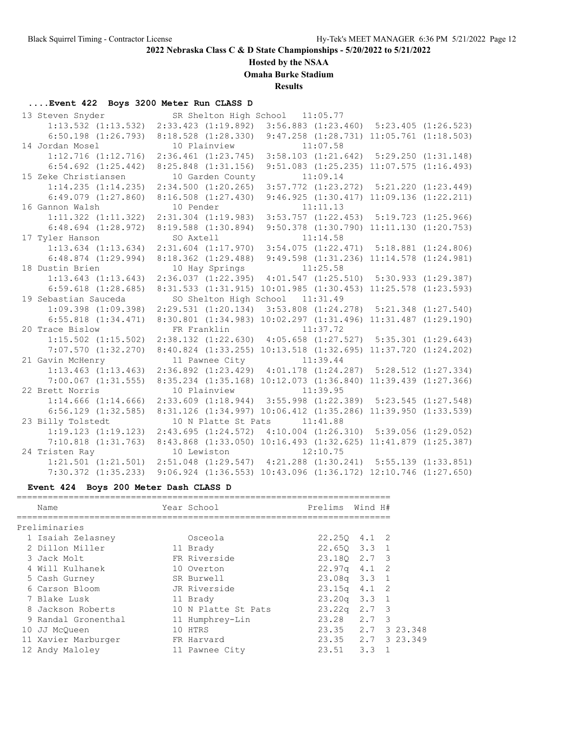## **Hosted by the NSAA**

**Omaha Burke Stadium**

**Results**

# **....Event 422 Boys 3200 Meter Run CLASS D**

| 13 Steven Snyder        |                                                                                 | SR Shelton High School 11:05.77                                           |                                                  |
|-------------------------|---------------------------------------------------------------------------------|---------------------------------------------------------------------------|--------------------------------------------------|
|                         | 1:13.532 (1:13.532) 2:33.423 (1:19.892) 3:56.883 (1:23.460) 5:23.405 (1:26.523) |                                                                           |                                                  |
| $6:50.198$ $(1:26.793)$ |                                                                                 | 8:18.528 (1:28.330) 9:47.258 (1:28.731) 11:05.761 (1:18.503)              |                                                  |
| 14 Jordan Mosel         | 10 Plainview 11:07.58                                                           |                                                                           |                                                  |
| $1:12.716$ $(1:12.716)$ |                                                                                 | 2:36.461 (1:23.745) 3:58.103 (1:21.642) 5:29.250 (1:31.148)               |                                                  |
| $6:54.692$ $(1:25.442)$ | $8:25.848$ $(1:31.156)$                                                         |                                                                           | $9:51.083$ $(1:25.235)$ $11:07.575$ $(1:16.493)$ |
| 15 Zeke Christiansen    | 10 Garden County                                                                | 11:09.14                                                                  |                                                  |
| 1:14.235(1:14.235)      |                                                                                 | 2:34.500 (1:20.265) 3:57.772 (1:23.272) 5:21.220 (1:23.449)               |                                                  |
| $6:49.079$ $(1:27.860)$ |                                                                                 | $8:16.508$ $(1:27.430)$ $9:46.925$ $(1:30.417)$ $11:09.136$ $(1:22.211)$  |                                                  |
| 16 Gannon Walsh         | 10 Pender                                                                       | 11:11.13                                                                  |                                                  |
| $1:11.322$ $(1:11.322)$ |                                                                                 | 2:31.304 (1:19.983) 3:53.757 (1:22.453) 5:19.723 (1:25.966)               |                                                  |
| $6:48.694$ $(1:28.972)$ | $8:19.588$ $(1:30.894)$                                                         |                                                                           | $9:50.378$ $(1:30.790)$ $11:11.130$ $(1:20.753)$ |
| 17 Tyler Hanson         | SO Axtell                                                                       | 11:14.58                                                                  |                                                  |
| $1:13.634$ $(1:13.634)$ |                                                                                 | 2:31.604 (1:17.970) 3:54.075 (1:22.471) 5:18.881 (1:24.806)               |                                                  |
| $6:48.874$ $(1:29.994)$ |                                                                                 | 8:18.362 (1:29.488) 9:49.598 (1:31.236) 11:14.578 (1:24.981)              |                                                  |
| 18 Dustin Brien         | 10 Hay Springs                                                                  | 11:25.58                                                                  |                                                  |
| $1:13.643$ $(1:13.643)$ |                                                                                 | 2:36.037 (1:22.395) 4:01.547 (1:25.510) 5:30.933 (1:29.387)               |                                                  |
| $6:59.618$ $(1:28.685)$ |                                                                                 | 8:31.533 (1:31.915) 10:01.985 (1:30.453) 11:25.578 (1:23.593)             |                                                  |
| 19 Sebastian Sauceda    |                                                                                 | SO Shelton High School 11:31.49                                           |                                                  |
| $1:09.398$ $(1:09.398)$ |                                                                                 | 2:29.531 (1:20.134) 3:53.808 (1:24.278) 5:21.348 (1:27.540)               |                                                  |
| $6:55.818$ $(1:34.471)$ |                                                                                 | 8:30.801 (1:34.983) 10:02.297 (1:31.496) 11:31.487 (1:29.190)             |                                                  |
| 20 Trace Bislow         | FR Franklin                                                                     | 11:37.72                                                                  |                                                  |
| $1:15.502$ $(1:15.502)$ |                                                                                 | 2:38.132 (1:22.630) 4:05.658 (1:27.527) 5:35.301 (1:29.643)               |                                                  |
| $7:07.570$ $(1:32.270)$ |                                                                                 | 8:40.824 (1:33.255) 10:13.518 (1:32.695) 11:37.720 (1:24.202)             |                                                  |
| 21 Gavin McHenry        | 11 Pawnee City                                                                  | 11:39.44                                                                  |                                                  |
| $1:13.463$ $(1:13.463)$ |                                                                                 | 2:36.892 (1:23.429) 4:01.178 (1:24.287) 5:28.512 (1:27.334)               |                                                  |
| $7:00.067$ $(1:31.555)$ |                                                                                 | 8:35.234 (1:35.168) 10:12.073 (1:36.840) 11:39.439 (1:27.366)             |                                                  |
| 22 Brett Norris         | 10 Plainview                                                                    | 11:39.95                                                                  |                                                  |
| $1:14.666$ $(1:14.666)$ |                                                                                 | 2:33.609 (1:18.944) 3:55.998 (1:22.389) 5:23.545 (1:27.548)               |                                                  |
| $6:56.129$ $(1:32.585)$ |                                                                                 | 8:31.126 (1:34.997) 10:06.412 (1:35.286) 11:39.950 (1:33.539)             |                                                  |
| 23 Billy Tolstedt       | 10 N Platte St Pats                                                             | 11:41.88                                                                  |                                                  |
| 1:19.123(1:19.123)      |                                                                                 | 2:43.695 (1:24.572) 4:10.004 (1:26.310) 5:39.056 (1:29.052)               |                                                  |
| $7:10.818$ $(1:31.763)$ |                                                                                 | 8:43.868 (1:33.050) 10:16.493 (1:32.625) 11:41.879 (1:25.387)             |                                                  |
| 24 Tristen Ray          | 10 Lewiston 12:10.75                                                            |                                                                           |                                                  |
| $1:21.501$ $(1:21.501)$ |                                                                                 | 2:51.048 (1:29.547) 4:21.288 (1:30.241) 5:55.139 (1:33.851)               |                                                  |
| $7:30.372$ $(1:35.233)$ |                                                                                 | $9:06.924$ $(1:36.553)$ $10:43.096$ $(1:36.172)$ $12:10.746$ $(1:27.650)$ |                                                  |

# **Event 424 Boys 200 Meter Dash CLASS D**

|    | Name                | Year School         | Prelims Wind H#            |          |
|----|---------------------|---------------------|----------------------------|----------|
|    | Preliminaries       |                     |                            |          |
|    | 1 Isaiah Zelasney   | Osceola             | $22.250$ 4.1 2             |          |
|    | 2 Dillon Miller     | 11 Brady            | $22.650$ $3.3$ 1           |          |
|    | 3 Jack Molt         | FR Riverside        | 23.180 2.7 3               |          |
|    | 4 Will Kulhanek     | 10 Overton          | 22.97q 4.1 2               |          |
|    | 5 Cash Gurney       | SR Burwell          | $23.08q$ $3.3$ 1           |          |
|    | 6 Carson Bloom      | JR Riverside        | $23.15q \quad 4.1 \quad 2$ |          |
|    | 7 Blake Lusk        | 11 Brady            | $23.20q$ $3.3$ 1           |          |
|    | 8 Jackson Roberts   | 10 N Platte St Pats | $23.22q$ $2.7$ 3           |          |
|    | 9 Randal Gronenthal | 11 Humphrey-Lin     | 23.28 2.7 3                |          |
| 10 | JJ McOueen          | 10 HTRS             | $23.35$ $2.7$              | 3 23.348 |
|    | 11 Xavier Marburger | FR Harvard          | 23.35 2.7 3 23.349         |          |
|    | 12 Andy Maloley     | 11 Pawnee City      | $23.51$ $3.3$              |          |
|    |                     |                     |                            |          |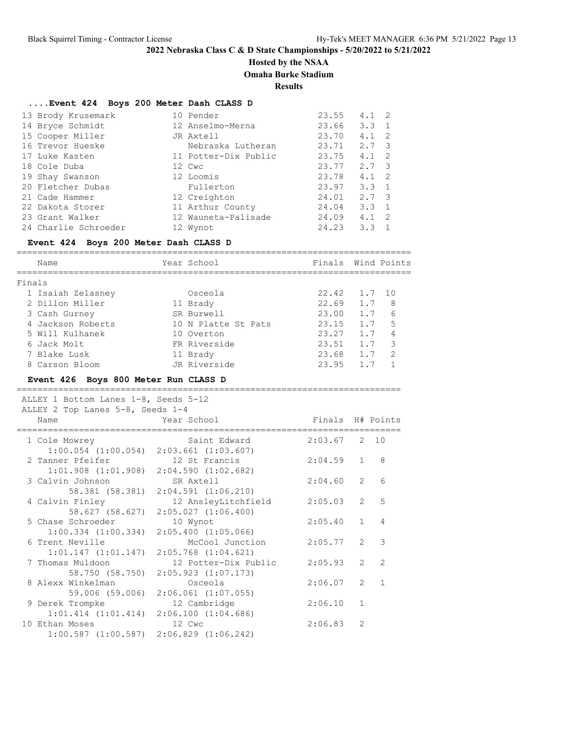## **Hosted by the NSAA**

**Omaha Burke Stadium**

**Results**

### **....Event 424 Boys 200 Meter Dash CLASS D**

| 13 Brody Krusemark   | 10 Pender            | 23.55 | $4.1 \quad 2$ |                |
|----------------------|----------------------|-------|---------------|----------------|
| 14 Bryce Schmidt     | 12 Anselmo-Merna     | 23.66 | $3.3 \quad 1$ |                |
| 15 Cooper Miller     | JR Axtell            | 23.70 | 4.1           | - 2            |
| 16 Trevor Hueske     | Nebraska Lutheran    | 23.71 | 2.7 3         |                |
| 17 Luke Kasten       | 11 Potter-Dix Public | 23.75 | 4.1           | $\overline{2}$ |
| 18 Cole Duba         | 12 Cwc               | 23.77 | $2.7 \quad 3$ |                |
| 19 Shay Swanson      | 12 Loomis            | 23.78 | 4.1           | $\overline{2}$ |
| 20 Fletcher Dubas    | Fullerton            | 23.97 | $3.3 \quad 1$ |                |
| 21 Cade Hammer       | 12 Creighton         | 24.01 | $2.7 \quad 3$ |                |
| 22 Dakota Storer     | 11 Arthur County     | 24.04 | $3.3 \quad 1$ |                |
| 23 Grant Walker      | 12 Wauneta-Palisade  | 24.09 | 4.1           | -2             |
| 24 Charlie Schroeder | 12 Wynot             | 24.23 | 3.3           |                |

#### **Event 424 Boys 200 Meter Dash CLASS D**

============================================================================ Name The Year School Communications of Finals Wind Points ============================================================================ Finals 1 Isaiah Zelasney Osceola 22.42 1.7 10 2 Dillon Miller 11 Brady 22.69 1.7 8 3 Cash Gurney SR Burwell 23.00 1.7 6 4 Jackson Roberts 10 N Platte St Pats 23.15 1.7 5 5 Will Kulhanek 10 Overton 23.27 1.7 4 6 Jack Molt FR Riverside 23.51 1.7 3 7 Blake Lusk 11 Brady 23.68 1.7 2 8 Carson Bloom JR Riverside 23.95 1.7 1

### **Event 426 Boys 800 Meter Run CLASS D**

==========================================================================

| ALLEY 1 Bottom Lanes 1-8, Seeds 5-12<br>ALLEY 2 Top Lanes 5-8, Seeds 1-4          |              |                     |                  |                |                  |
|-----------------------------------------------------------------------------------|--------------|---------------------|------------------|----------------|------------------|
| Name                                                                              | Year School  |                     | Finals H# Points |                |                  |
| 1 Cole Mowrey<br>$1:00.054$ $(1:00.054)$ $2:03.661$ $(1:03.607)$                  |              | Saint Edward        | $2:03.67$ 2 10   |                |                  |
| 2 Tanner Pfeifer 12 St Francis<br>$1:01.908$ $(1:01.908)$ $2:04.590$ $(1:02.682)$ |              |                     | $2:04.59$ 1      |                | 8                |
| 3 Calvin Johnson SR Axtell<br>58.381 (58.381) 2:04.591 (1:06.210)                 |              |                     | 2:04.60          | 2              | 6                |
| 4 Calvin Finley<br>58.627 (58.627) 2:05.027 (1:06.400)                            |              | 12 AnsleyLitchfield | 2:05.03          |                | 5<br>$2^{\circ}$ |
| 5 Chase Schroeder<br>$1:00.334$ $(1:00.334)$ $2:05.400$ $(1:05.066)$              | 10 Wynot     |                     | 2:05.40          | $\mathbf{1}$   | $\overline{4}$   |
| 6 Trent Neville<br>$1:01.147$ $(1:01.147)$ $2:05.768$ $(1:04.621)$                |              | McCool Junction     | $2:05.77$ 2      |                | 3                |
| 7 Thomas Muldoon 12 Potter-Dix Public<br>58.750 (58.750) 2:05.923 (1:07.173)      |              |                     | 2:05.93          | 2              | $\mathcal{L}$    |
| 8 Alexx Winkelman<br>59.006 (59.006) 2:06.061 (1:07.055)                          |              | Osceola             | $2:06.07$ 2 1    |                |                  |
| 9 Derek Trompke<br>$1:01.414$ $(1:01.414)$ $2:06.100$ $(1:04.686)$                | 12 Cambridge |                     | 2:06.10          | $\mathbf{1}$   |                  |
| 10 Ethan Moses<br>$1:00.587$ $(1:00.587)$ $2:06.829$ $(1:06.242)$                 | 12 Cwc       |                     | 2:06.83          | $\overline{2}$ |                  |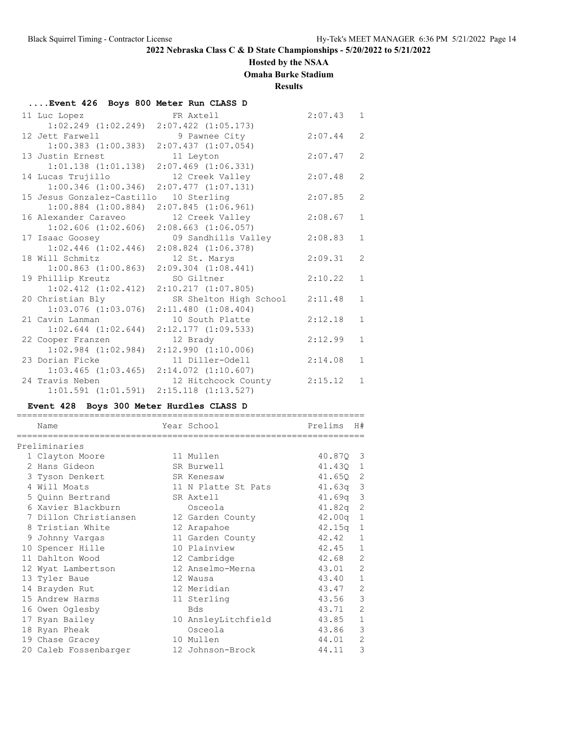## **Hosted by the NSAA**

**Omaha Burke Stadium**

**Results**

| Event 426 Boys 800 Meter Run CLASS D |                         |         |                |
|--------------------------------------|-------------------------|---------|----------------|
| 11 Luc Lopez                         | FR Axtell               | 2:07.43 | $\mathbf{1}$   |
| $1:02.249$ $(1:02.249)$              | $2:07.422$ $(1:05.173)$ |         |                |
| 12 Jett Farwell                      | 9 Pawnee City           | 2:07.44 | $\overline{2}$ |
| $1:00.383$ $(1:00.383)$              | $2:07.437$ $(1:07.054)$ |         |                |
| 13 Justin Ernest                     | 11 Leyton               | 2:07.47 | $\overline{2}$ |
| $1:01.138$ $(1:01.138)$              | $2:07.469$ $(1:06.331)$ |         |                |
| 14 Lucas Trujillo                    | 12 Creek Valley         | 2:07.48 | $\overline{2}$ |
| $1:00.346$ $(1:00.346)$              | $2:07.477$ $(1:07.131)$ |         |                |
| 15 Jesus Gonzalez-Castillo           | 10 Sterling             | 2:07.85 | $\overline{2}$ |
| $1:00.884$ $(1:00.884)$              | $2:07.845$ $(1:06.961)$ |         |                |
| 16 Alexander Caraveo                 | 12 Creek Valley         | 2:08.67 | $\mathbf{1}$   |
| $1:02.606$ $(1:02.606)$              | $2:08.663$ $(1:06.057)$ |         |                |
| 17 Isaac Goosey                      | 09 Sandhills Valley     | 2:08.83 | $\mathbf{1}$   |
| $1:02.446$ $(1:02.446)$              | $2:08.824$ $(1:06.378)$ |         |                |
| 18 Will Schmitz                      | 12 St. Marys            | 2:09.31 | $\overline{2}$ |
| $1:00.863$ $(1:00.863)$              | $2:09.304$ $(1:08.441)$ |         |                |
| 19 Phillip Kreutz                    | SO Giltner              | 2:10.22 | $\mathbf{1}$   |
| $1:02.412$ $(1:02.412)$              | $2:10.217$ $(1:07.805)$ |         |                |
| 20 Christian Bly                     | SR Shelton High School  | 2:11.48 | $\mathbf{1}$   |
| $1:03.076$ $(1:03.076)$              | $2:11.480$ $(1:08.404)$ |         |                |
| 21 Cavin Lanman                      | 10 South Platte         | 2:12.18 | $\mathbf{1}$   |
| $1:02.644$ $(1:02.644)$              | $2:12.177$ $(1:09.533)$ |         |                |
| 22 Cooper Franzen                    | 12 Brady                | 2:12.99 | $\mathbf{1}$   |
| $1:02.984$ $(1:02.984)$              | 2:12.990(1:10.006)      |         |                |
| 23 Dorian Ficke                      | 11 Diller-Odell         | 2:14.08 | $\mathbf{1}$   |
| $1:03.465$ $(1:03.465)$              | $2:14.072$ $(1:10.607)$ |         |                |
| 24 Travis Neben                      | 12 Hitchcock County     | 2:15.12 | $\mathbf{1}$   |
| $1:01.591$ $(1:01.591)$              | $2:15.118$ $(1:13.527)$ |         |                |

## **Event 428 Boys 300 Meter Hurdles CLASS D**

| Name                  | Year School         | Prelims    | H#             |
|-----------------------|---------------------|------------|----------------|
| ==================    |                     |            |                |
| Preliminaries         |                     |            |                |
| 1 Clayton Moore       | 11 Mullen           | 40.870 3   |                |
| 2 Hans Gideon         | SR Burwell          | 41.430 1   |                |
| 3 Tyson Denkert       | SR Kenesaw          | 41.650 2   |                |
| 4 Will Moats          | 11 N Platte St Pats | $41.63q$ 3 |                |
| 5 Quinn Bertrand      | SR Axtell           | 41.69q     | 3              |
| 6 Xavier Blackburn    | Osceola             | 41.82q     | 2              |
| 7 Dillon Christiansen | 12 Garden County    | 42.00q     | $\mathbf{1}$   |
| 8 Tristian White      | 12 Arapahoe         | $42.15q$ 1 |                |
| 9 Johnny Vargas       | 11 Garden County    | 42.42      | $\mathbf{1}$   |
| 10 Spencer Hille      | 10 Plainview        | 42.45      | $\mathbf{1}$   |
| 11 Dahlton Wood       | 12 Cambridge        | 42.68      | 2              |
| 12 Wyat Lambertson    | 12 Anselmo-Merna    | 43.01      | $\overline{2}$ |
| 13 Tyler Baue         | 12 Wausa            | 43.40      | $\mathbf{1}$   |
| 14 Brayden Rut        | 12 Meridian         | 43.47      | $\mathbf{2}$   |
| 15 Andrew Harms       | 11 Sterling         | 43.56      | 3              |
| 16 Owen Oglesby       | <b>Bds</b>          | 43.71      | $\overline{2}$ |
| 17 Ryan Bailey        | 10 AnsleyLitchfield | 43.85      | $\mathbf{1}$   |
| 18 Ryan Pheak         | Osceola             | 43.86      | 3              |
| 19 Chase Gracey       | 10 Mullen           | 44.01      | $\overline{2}$ |
| 20 Caleb Fossenbarger | 12 Johnson-Brock    | 44.11      | 3              |
|                       |                     |            |                |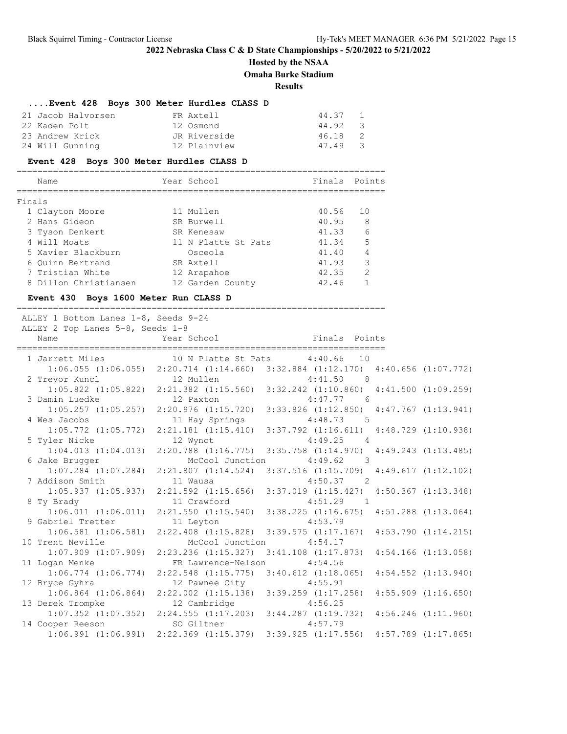# **Hosted by the NSAA**

**Omaha Burke Stadium**

**Results**

# **....Event 428 Boys 300 Meter Hurdles CLASS D**

| 21 Jacob Halvorsen | FR Axtell    | 44.37 |                |
|--------------------|--------------|-------|----------------|
| 22 Kaden Polt      | 12 Osmond    | 44.92 | - 3            |
| 23 Andrew Krick    | JR Riverside | 46.18 | $\overline{2}$ |
| 24 Will Gunning    | 12 Plainview | 47.49 | $\overline{3}$ |

### **Event 428 Boys 300 Meter Hurdles CLASS D**

|        | Name                  | Year School         | Finals Points |               |
|--------|-----------------------|---------------------|---------------|---------------|
|        |                       |                     |               |               |
| Finals |                       |                     |               |               |
|        | 1 Clayton Moore       | 11 Mullen           | 40.56         | 10            |
|        | 2 Hans Gideon         | SR Burwell          | 40.95         | 8             |
|        | 3 Tyson Denkert       | SR Kenesaw          | 41.33         | 6             |
|        | 4 Will Moats          | 11 N Platte St Pats | 41.34         | 5             |
|        | 5 Xavier Blackburn    | Osceola             | 41.40         |               |
|        | 6 Ouinn Bertrand      | SR Axtell           | 41.93         | 3             |
|        | 7 Tristian White      | 12 Arapahoe         | 42.35         | $\mathcal{P}$ |
|        | 8 Dillon Christiansen | 12 Garden County    | 42.46         |               |

### **Event 430 Boys 1600 Meter Run CLASS D**

=======================================================================

| ALLEY 1 Bottom Lanes 1-8, Seeds 9-24<br>ALLEY 2 Top Lanes 5-8, Seeds 1-8                                       |                            |                                                                                                 |  |
|----------------------------------------------------------------------------------------------------------------|----------------------------|-------------------------------------------------------------------------------------------------|--|
| Name                                                                                                           |                            | Year School <a> Finals Points</a> Finals Points                                                 |  |
| 1 Jarrett Miles 10 N Platte St Pats 4:40.66 10                                                                 |                            |                                                                                                 |  |
|                                                                                                                |                            | 1:06.055 (1:06.055) 2:20.714 (1:14.660) 3:32.884 (1:12.170) 4:40.656 (1:07.772)                 |  |
| 2 Trevor Kuncl                 12 Mullen                 4:41.50     8                                         |                            |                                                                                                 |  |
|                                                                                                                |                            | 1:05.822 (1:05.822) 2:21.382 (1:15.560) 3:32.242 (1:10.860) 4:41.500 (1:09.259)                 |  |
| 3 Damin Luedke 12 Paxton 4:47.77 6                                                                             |                            |                                                                                                 |  |
|                                                                                                                |                            | $1:05.257$ $(1:05.257)$ $2:20.976$ $(1:15.720)$ $3:33.826$ $(1:12.850)$ $4:47.767$ $(1:13.941)$ |  |
| 4 Wes Jacobs                                                                                                   |                            | 11 Hay Springs 4:48.73 5                                                                        |  |
|                                                                                                                |                            | 1:05.772 (1:05.772) 2:21.181 (1:15.410) 3:37.792 (1:16.611) 4:48.729 (1:10.938)                 |  |
| 5 Tyler Nicke                                                                                                  |                            | 12 Wynot 4:49.25 4                                                                              |  |
|                                                                                                                |                            | 1:04.013 (1:04.013) 2:20.788 (1:16.775) 3:35.758 (1:14.970) 4:49.243 (1:13.485)                 |  |
| 6 Jake Brugger                                                                                                 | McCool Junction            | $4:49.62$ 3                                                                                     |  |
|                                                                                                                |                            | $1:07.284$ $(1:07.284)$ $2:21.807$ $(1:14.524)$ $3:37.516$ $(1:15.709)$ $4:49.617$ $(1:12.102)$ |  |
| 7 Addison Smith 11 Wausa                                                                                       |                            | $4:50.37$ 2                                                                                     |  |
|                                                                                                                |                            | $1:05.937$ $(1:05.937)$ $2:21.592$ $(1:15.656)$ $3:37.019$ $(1:15.427)$ $4:50.367$ $(1:13.348)$ |  |
| 8 Ty Brady 6 and 19 and 19 and 19 and 19 and 19 and 19 and 19 and 19 and 19 and 19 and 19 and 19 and 19 and 19 | 11 Crawford                | $4:51.29$ 1                                                                                     |  |
|                                                                                                                |                            | $1:06.\overline{0}11$ (1:06.011) 2:21.550 (1:15.540) 3:38.225 (1:16.675) 4:51.288 (1:13.064)    |  |
| 9 Gabriel Tretter 11 Leyton 4:53.79                                                                            |                            |                                                                                                 |  |
|                                                                                                                |                            | $1:06.581$ (1:06.581) $2:22.408$ (1:15.828) $3:39.575$ (1:17.167) $4:53.790$ (1:14.215)         |  |
| 10 Trent Neville                                                                                               |                            | McCool Junction 4:54.17                                                                         |  |
|                                                                                                                |                            | $1:07.909$ $(1:07.909)$ $2:23.236$ $(1:15.327)$ $3:41.108$ $(1:17.873)$ $4:54.166$ $(1:13.058)$ |  |
| 11 Logan Menke                                                                                                 | FR Lawrence-Nelson 4:54.56 |                                                                                                 |  |
|                                                                                                                |                            | 1:06.774 (1:06.774) 2:22.548 (1:15.775) 3:40.612 (1:18.065) 4:54.552 (1:13.940)                 |  |
| 12 Bryce Gyhra                                                                                                 | 12 Pawnee City 4:55.91     |                                                                                                 |  |
|                                                                                                                |                            | $1:06.864$ (1:06.864) $2:22.002$ (1:15.138) $3:39.259$ (1:17.258) $4:55.909$ (1:16.650)         |  |
| 13 Derek Trompke                                                                                               | 12 Cambridge               | 4:56.25                                                                                         |  |
|                                                                                                                |                            | $1:07.352$ $(1:07.352)$ $2:24.555$ $(1:17.203)$ $3:44.287$ $(1:19.732)$ $4:56.246$ $(1:11.960)$ |  |
| 14 Cooper Reeson                                                                                               | SO Giltner 4:57.79         |                                                                                                 |  |
|                                                                                                                |                            | 1:06.991 (1:06.991) 2:22.369 (1:15.379) 3:39.925 (1:17.556) 4:57.789 (1:17.865)                 |  |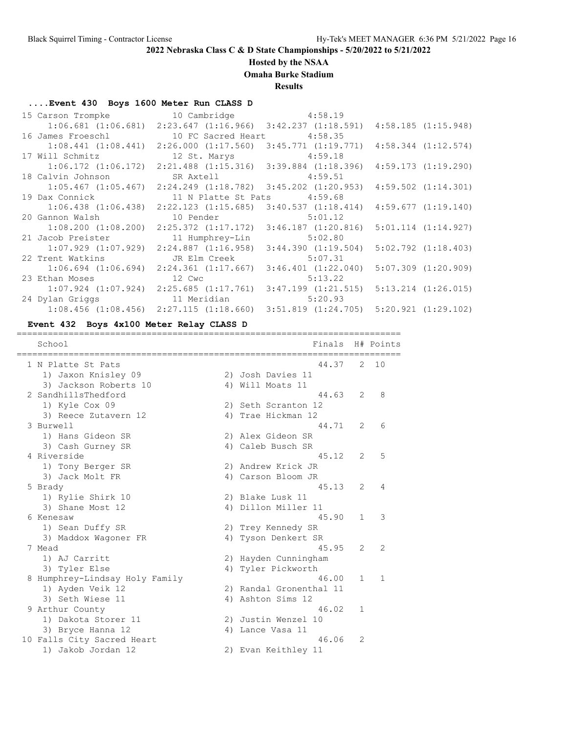# **Hosted by the NSAA**

**Omaha Burke Stadium**

**Results**

## **....Event 430 Boys 1600 Meter Run CLASS D**

| 15 Carson Trompke 10 Cambridge 4:58.19       |                                                                                                 |         |                         |
|----------------------------------------------|-------------------------------------------------------------------------------------------------|---------|-------------------------|
|                                              | $1:06.681$ (1:06.681) 2:23.647 (1:16.966) 3:42.237 (1:18.591) 4:58.185 (1:15.948)               |         |                         |
| 16 James Froeschl 10 FC Sacred Heart 4:58.35 |                                                                                                 |         |                         |
|                                              | $1:08.441$ $(1:08.441)$ $2:26.000$ $(1:17.560)$ $3:45.771$ $(1:19.771)$                         |         | $4:58.344$ $(1:12.574)$ |
| 17 Will Schmitz 12 St. Marys 4:59.18         |                                                                                                 |         |                         |
|                                              | $1:06.172$ $(1:06.172)$ $2:21.488$ $(1:15.316)$ $3:39.884$ $(1:18.396)$                         |         | 4:59.173(1:19.290)      |
| 18 Calvin Johnson                            | SR Axtell 4:59.51                                                                               |         |                         |
|                                              | $1:05.467$ $(1:05.467)$ $2:24.249$ $(1:18.782)$ $3:45.202$ $(1:20.953)$ $4:59.502$ $(1:14.301)$ |         |                         |
| 19 Dax Connick                               | 11 N Platte St Pats 4:59.68                                                                     |         |                         |
|                                              | $1:06.438$ $(1:06.438)$ $2:22.123$ $(1:15.685)$ $3:40.537$ $(1:18.414)$                         |         | 4:59.677(1:19.140)      |
| 20 Gannon Walsh 10 Pender 5:01.12            |                                                                                                 |         |                         |
|                                              | $1:08.200$ $(1:08.200)$ $2:25.372$ $(1:17.172)$ $3:46.187$ $(1:20.816)$                         |         | $5:01.114$ $(1:14.927)$ |
| 21 Jacob Preister 11 Humphrey-Lin 5:02.80    |                                                                                                 |         |                         |
|                                              | $1:07.929$ $(1:07.929)$ $2:24.887$ $(1:16.958)$ $3:44.390$ $(1:19.504)$                         |         | $5:02.792$ $(1:18.403)$ |
| 22 Trent Watkins                             | JR Elm Creek 5:07.31                                                                            |         |                         |
|                                              | $1:06.694$ $(1:06.694)$ $2:24.361$ $(1:17.667)$ $3:46.401$ $(1:22.040)$                         |         | $5:07.309$ $(1:20.909)$ |
| 23 Ethan Moses 12 Cwc                        |                                                                                                 | 5:13.22 |                         |
|                                              | $1:07.924$ $(1:07.924)$ $2:25.685$ $(1:17.761)$ $3:47.199$ $(1:21.515)$ $5:13.214$ $(1:26.015)$ |         |                         |
| 24 Dylan Griggs and 11 Meridian 5:20.93      |                                                                                                 |         |                         |
|                                              | $1:08.456$ (1:08.456) $2:27.115$ (1:18.660) $3:51.819$ (1:24.705) $5:20.921$ (1:29.102)         |         |                         |

#### **Event 432 Boys 4x100 Meter Relay CLASS D** ==========================================================================

| School                         | Finals                  |              | H# Points     |
|--------------------------------|-------------------------|--------------|---------------|
| 1 N Platte St Pats             | 44.37                   | 2            | 10            |
| 1) Jaxon Knisley 09            | 2) Josh Davies 11       |              |               |
| 3) Jackson Roberts 10          | 4) Will Moats 11        |              |               |
| 2 SandhillsThedford            | 44.63                   | 2            | 8             |
| 1) Kyle Cox 09                 | 2) Seth Scranton 12     |              |               |
| 3) Reece Zutavern 12           | 4) Trae Hickman 12      |              |               |
| 3 Burwell                      | 44.71                   | 2            | 6             |
| 1) Hans Gideon SR              | 2) Alex Gideon SR       |              |               |
| 3) Cash Gurney SR              | 4) Caleb Busch SR       |              |               |
| 4 Riverside                    | 45.12                   | 2            | 5             |
| 1) Tony Berger SR              | 2) Andrew Krick JR      |              |               |
| 3) Jack Molt FR                | 4) Carson Bloom JR      |              |               |
| 5 Brady                        | 45.13                   | 2            | 4             |
| 1) Rylie Shirk 10              | 2) Blake Lusk 11        |              |               |
| 3) Shane Most 12               | 4) Dillon Miller 11     |              |               |
| 6 Kenesaw                      | 45.90                   | 1            | 3             |
| 1) Sean Duffy SR               | 2) Trey Kennedy SR      |              |               |
| 3) Maddox Wagoner FR           | 4) Tyson Denkert SR     |              |               |
| 7 Mead                         | 45.95                   | 2            | $\mathcal{L}$ |
| 1) AJ Carritt                  | 2) Hayden Cunningham    |              |               |
| 3) Tyler Else                  | 4) Tyler Pickworth      |              |               |
| 8 Humphrey-Lindsay Holy Family | 46.00                   | $\mathbf{1}$ | -1            |
| 1) Ayden Veik 12               | 2) Randal Gronenthal 11 |              |               |
| 3) Seth Wiese 11               | 4) Ashton Sims 12       |              |               |
| 9 Arthur County                | 46.02                   | 1            |               |
| 1) Dakota Storer 11            | 2) Justin Wenzel 10     |              |               |
| 3) Bryce Hanna 12              | 4) Lance Vasa 11        |              |               |
| 10 Falls City Sacred Heart     | 46.06                   | 2            |               |
| 1) Jakob Jordan 12             | 2) Evan Keithley 11     |              |               |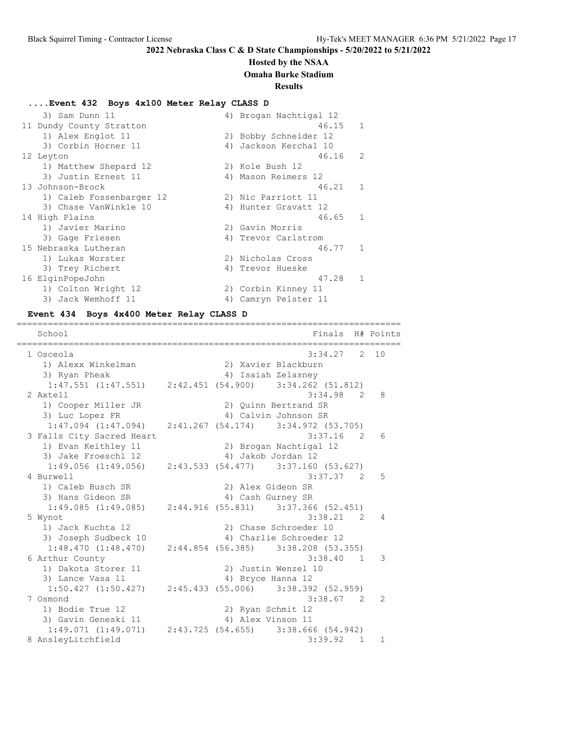### **Hosted by the NSAA**

**Omaha Burke Stadium**

#### **Results**

### **....Event 432 Boys 4x100 Meter Relay CLASS D**

| 3) Sam Dunn 11           | 4) Brogan Nachtigal 12   |
|--------------------------|--------------------------|
| 11 Dundy County Stratton | 46.15<br>-1              |
| 1) Alex Englot 11        | 2) Bobby Schneider 12    |
| 3) Corbin Horner 11      | Jackson Kerchal 10<br>4) |
| 12 Leyton                | 46.16<br>$\mathcal{L}$   |
| 1) Matthew Shepard 12    | 2) Kole Bush 12          |
| 3) Justin Ernest 11      | 4) Mason Reimers 12      |
| 13 Johnson-Brock         | 46.21<br>$\mathbf{1}$    |
| 1) Caleb Fossenbarger 12 | 2) Nic Parriott 11       |
| 3) Chase VanWinkle 10    | 4) Hunter Gravatt 12     |
| 14 High Plains           | 46.65<br>$\mathbf{1}$    |
| 1) Javier Marino         | 2) Gavin Morris          |
| 3) Gage Friesen          | 4) Trevor Carlstrom      |
| 15 Nebraska Lutheran     | 46.77<br>$\mathbf{1}$    |
| 1) Lukas Worster         | 2) Nicholas Cross        |
| 3) Trey Richert          | 4) Trevor Hueske         |
| 16 ElginPopeJohn         | 47.28<br>$\mathbf{1}$    |
| 1) Colton Wright 12      | 2) Corbin Kinney 11      |
| 3) Jack Wemhoff 11       | 4) Camryn Pelster 11     |

#### **Event 434 Boys 4x400 Meter Relay CLASS D**

========================================================================== School **Finals** H# Points ========================================================================== 1 Osceola 3:34.27 2 10 1) Alexx Winkelman 2) Xavier Blackburn 3) Ryan Pheak 4) Isaiah Zelasney 1:47.551 (1:47.551) 2:42.451 (54.900) 3:34.262 (51.812) 2 Axtell 3:34.98 2 8 1) Cooper Miller JR 2) Quinn Bertrand SR 3) Luc Lopez FR 4) Calvin Johnson SR 1:47.094 (1:47.094) 2:41.267 (54.174) 3:34.972 (53.705) 3 Falls City Sacred Heart 3:37.16 2 6 alls City Sacreu neart<br>1) Evan Keithley 11 2) Brogan Nachtigal 12<br>20 12 12 12 12 12 12 12 13 12 13 14 14 14 14 14 12 3) Jake Froeschl 12 4) Jakob Jordan 12 1:49.056 (1:49.056) 2:43.533 (54.477) 3:37.160 (53.627) 4 Burwell 3:37.37 2 5 1) Caleb Busch SR 2) Alex Gideon SR 3) Hans Gideon SR 4) Cash Gurney SR 1:49.085 (1:49.085) 2:44.916 (55.831) 3:37.366 (52.451) 5 Wynot 3:38.21 2 4 1) Jack Kuchta 12 2) Chase Schroeder 10 3) Joseph Sudbeck 10 4) Charlie Schroeder 12 1:48.470 (1:48.470) 2:44.854 (56.385) 3:38.208 (53.355) 6 Arthur County 3:38.40 1 3 1) Dakota Storer 11 2) Justin Wenzel 10 3) Lance Vasa 11 4) Bryce Hanna 12  $1:50.427$  (1:50.427) 2:45.433 (55.006) 3:38.392 (52.959) 7 Osmond 3:38.67 2 2 1) Bodie True 12 2) Ryan Schmit 12 3) Gavin Geneski 11 <a>> 4) Alex Vinson 11 1:49.071 (1:49.071) 2:43.725 (54.655) 3:38.666 (54.942)<br>nslevLitchfield 3:39.92 1 1 8 AnsleyLitchfield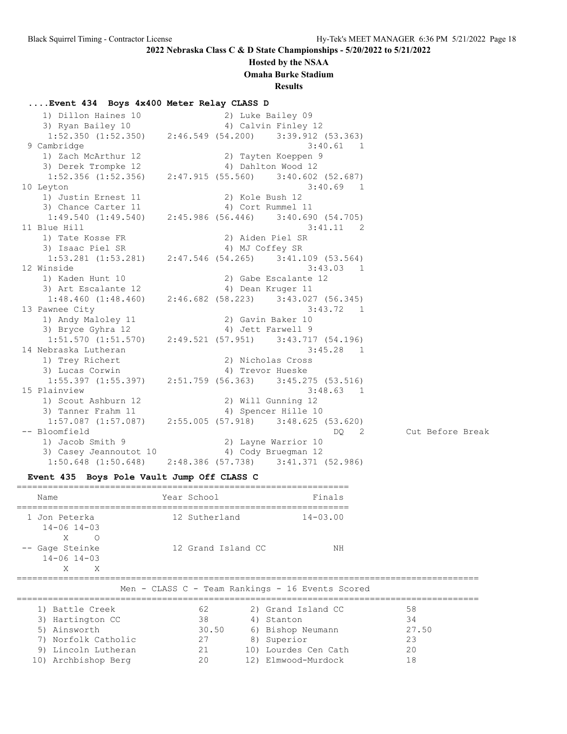### **Hosted by the NSAA**

**Omaha Burke Stadium**

**Results**

### **....Event 434 Boys 4x400 Meter Relay CLASS D**

1) Dillon Haines 10 2) Luke Bailey 09<br>1) Dillon Haines 10 2) Luke Bailey 09 3) Ryan Bailey 10 4) Calvin Finley 12 1:52.350 (1:52.350) 2:46.549 (54.200) 3:39.912 (53.363) 9 Cambridge 3:40.61 1 1) Zach McArthur 12 2) Tayten Koeppen 9 3) Derek Trompke 12 (4) Dahlton Wood 12 1:52.356 (1:52.356) 2:47.915 (55.560) 3:40.602 (52.687)<br>10 Leyton 3:40.69 1 10 Leyton 3:40.69 1 1) Justin Ernest 11 2) Kole Bush 12 3) Chance Carter 11 4) Cort Rummel 11 1:49.540 (1:49.540) 2:45.986 (56.446) 3:40.690 (54.705) 11 Blue Hill 3:41.11 2 1) Tate Kosse FR 2) Aiden Piel SR 3) Isaac Piel SR 4) MJ Coffey SR 1:53.281 (1:53.281) 2:47.546 (54.265) 3:41.109 (53.564) 12 Winside 3:43.03 1 1) Kaden Hunt 10 2) Gabe Escalante 12 3) Art Escalante 12 (4) Dean Kruger 11 1:48.460 (1:48.460) 2:46.682 (58.223) 3:43.027 (56.345) 13 Pawnee City 3:43.72 1 1) Andy Maloley 11 2) Gavin Baker 10 3) Bryce Gyhra 12 4) Jett Farwell 9 1:51.570 (1:51.570) 2:49.521 (57.951) 3:43.717 (54.196) 14 Nebraska Lutheran 3:45.28 1 1) Trey Richert 2) Nicholas Cross 3) Lucas Corwin (4) Trevor Hueske 1:55.397 (1:55.397) 2:51.759 (56.363) 3:45.275 (53.516) 15 Plainview 3:48.63 1 1) Scout Ashburn 12 2) Will Gunning 12 3) Tanner Frahm 11 4) Spencer Hille 10 1:57.087 (1:57.087) 2:55.005 (57.918) 3:48.625 (53.620) -- Bloomfield DQ 2 Cut Before Break 1) Jacob Smith 9 2) Layne Warrior 10 3) Casey Jeannoutot 10 4) Cody Bruegman 12 1:50.648 (1:50.648) 2:48.386 (57.738) 3:41.371 (52.986)

### **Event 435 Boys Pole Vault Jump Off CLASS C**

| Name                                             | Year School        | Finals                                           |
|--------------------------------------------------|--------------------|--------------------------------------------------|
| 1 Jon Peterka<br>$14 - 06$ $14 - 03$<br>X<br>∩   | 12 Sutherland      | $14 - 03.00$                                     |
| -- Gage Steinke<br>$14 - 06$ $14 - 03$<br>X<br>X | 12 Grand Island CC | ΝH                                               |
|                                                  |                    | Men - CLASS C - Team Rankings - 16 Events Scored |

| 1) Battle Creek     | 62    | 2) Grand Island CC   | 58    |
|---------------------|-------|----------------------|-------|
| 3) Hartington CC    | 38    | 4) Stanton           | 34    |
| 5) Ainsworth        | 30.50 | 6) Bishop Neumann    | 27.50 |
| 7) Norfolk Catholic | 27    | 8) Superior          | 23    |
| 9) Lincoln Lutheran | 21    | 10) Lourdes Cen Cath | 20    |
| 10) Archbishop Berg | 20    | 12) Elmwood-Murdock  |       |